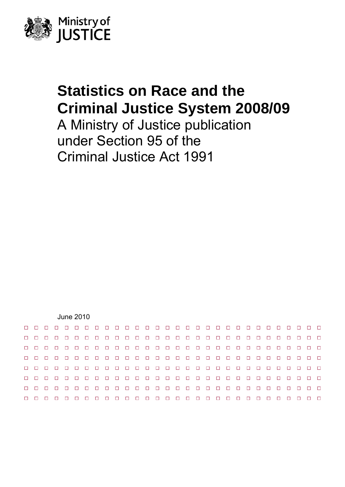

# **Statistics on Race and the Criminal Justice System 2008/09**

A Ministry of Justice publication under Section 95 of the Criminal Justice Act 1991

|               |         | <b>June 2010</b> |        |                |        |        |                   |        |                                                                       |        |        |        |        |        |        |        |        |        |        |        |        |        |        |        |                          |
|---------------|---------|------------------|--------|----------------|--------|--------|-------------------|--------|-----------------------------------------------------------------------|--------|--------|--------|--------|--------|--------|--------|--------|--------|--------|--------|--------|--------|--------|--------|--------------------------|
|               | 88888   | $\Box$           |        | $\blacksquare$ |        |        | 00000000000000000 |        |                                                                       |        |        |        |        |        |        |        |        |        |        |        |        |        | $\Box$ |        | $\overline{\phantom{a}}$ |
|               | 8 8 8 8 | $\Box$           | $\Box$ | n.             | n      | $\Box$ | $\Box$            |        | $\begin{array}{ccc} & \square & \square & \square \end{array}$        |        | $\Box$ | $\Box$ | $\Box$ | $\Box$ | $\Box$ | $\Box$ | $\Box$ | $\Box$ | $\Box$ | $\Box$ | n.     | $\Box$ | $\Box$ |        | $\Box$                   |
|               | 88888   | $\Box$           | $\Box$ | $\Box$         | $\Box$ | $\Box$ | $\Box$            | $\Box$ | $\begin{array}{cccccccccccccc} \Box & \Box & \Box & \Box \end{array}$ |        | $\Box$ | $\Box$ | $\Box$ | $\Box$ | $\Box$ |        | $\Box$ | $\Box$ | $\Box$ | $\Box$ | $\Box$ | $\Box$ | $\Box$ |        | $\Box$                   |
|               | 88888   | $\Box$           |        | $\Box$         | $\Box$ | $\Box$ | $\Box$            |        |                                                                       | 0000   |        | $\Box$ | $\Box$ |        |        |        |        |        | $\Box$ | $\Box$ | $\Box$ |        | $\Box$ |        | $\overline{\phantom{a}}$ |
|               | .       | $\Box$           |        | $\Box$         |        |        | 000000000         |        |                                                                       |        |        |        |        |        |        | .      |        |        |        |        | $\Box$ |        | $\Box$ |        | $\Box$                   |
|               | n n n n | $\Box$           | $\Box$ | $\Box$         | $\Box$ | $\Box$ | $\Box$            | $\Box$ | $\Box$                                                                | $\Box$ | $\Box$ | $\Box$ | $\Box$ | $\Box$ | $\Box$ |        | $\Box$ | $\Box$ | $\Box$ | $\Box$ | $\Box$ | $\Box$ | $\Box$ |        | $\Box$                   |
|               | 88888   | $\Box$           | $\Box$ | $\Box$         | $\Box$ | $\Box$ | $\Box$            | $\Box$ | $\Box$                                                                | $\Box$ | $\Box$ | $\Box$ | $\Box$ | $\Box$ | $\Box$ | $\Box$ | $\Box$ | $\Box$ | $\Box$ | $\Box$ | $\Box$ | $\Box$ | $\Box$ | $\Box$ | $\overline{\phantom{a}}$ |
| $\Box$ $\Box$ |         |                  |        |                |        |        |                   |        | n                                                                     |        |        |        | п      |        |        |        |        |        |        |        |        |        |        |        |                          |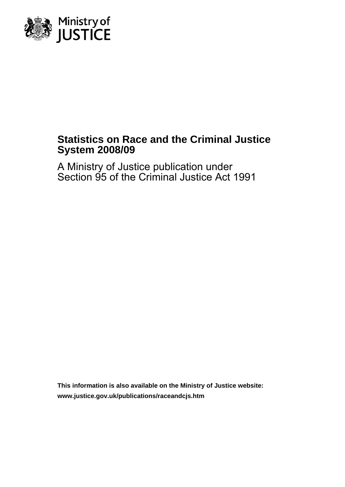

# **Statistics on Race and the Criminal Justice System 2008/09**

A Ministry of Justice publication under Section 95 of the Criminal Justice Act 1991

**This information is also available on the Ministry of Justice website: [www.justice.gov.uk/publications/raceandcjs.htm](http://www.justice.gov.uk/publications/raceandcjs.htm)**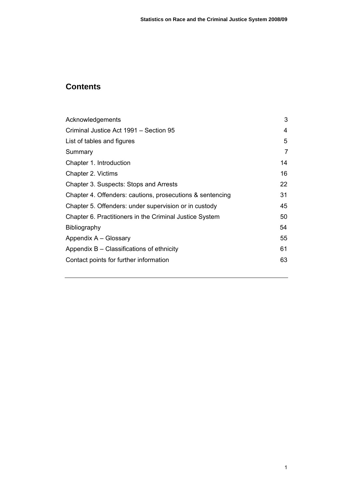# **Contents**

| Acknowledgements                                          | 3  |
|-----------------------------------------------------------|----|
| Criminal Justice Act 1991 - Section 95                    | 4  |
| List of tables and figures                                | 5  |
| Summary                                                   | 7  |
| Chapter 1. Introduction                                   | 14 |
| Chapter 2. Victims                                        | 16 |
| Chapter 3. Suspects: Stops and Arrests                    | 22 |
| Chapter 4. Offenders: cautions, prosecutions & sentencing | 31 |
| Chapter 5. Offenders: under supervision or in custody     | 45 |
| Chapter 6. Practitioners in the Criminal Justice System   | 50 |
| <b>Bibliography</b>                                       | 54 |
| Appendix A - Glossary                                     | 55 |
| Appendix B – Classifications of ethnicity                 | 61 |
| Contact points for further information                    | 63 |
|                                                           |    |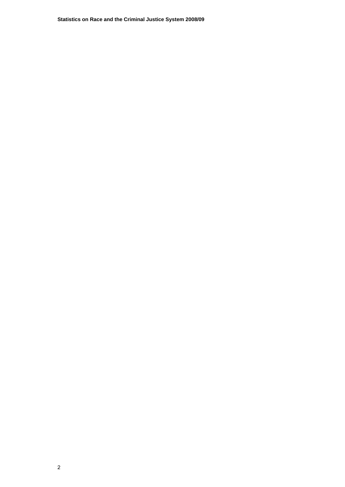**Statistics on Race and the Criminal Justice System 2008/09**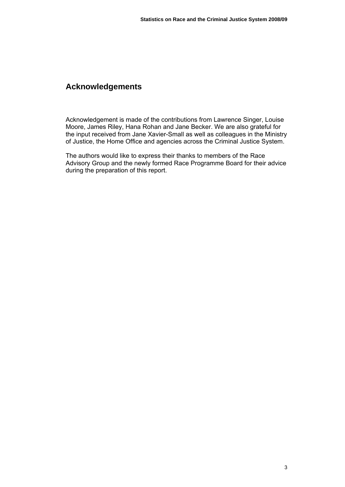# <span id="page-4-0"></span>**Acknowledgements**

Acknowledgement is made of the contributions from Lawrence Singer, Louise Moore, James Riley, Hana Rohan and Jane Becker. We are also grateful for the input received from Jane Xavier-Small as well as colleagues in the Ministry of Justice, the Home Office and agencies across the Criminal Justice System.

The authors would like to express their thanks to members of the Race Advisory Group and the newly formed Race Programme Board for their advice during the preparation of this report.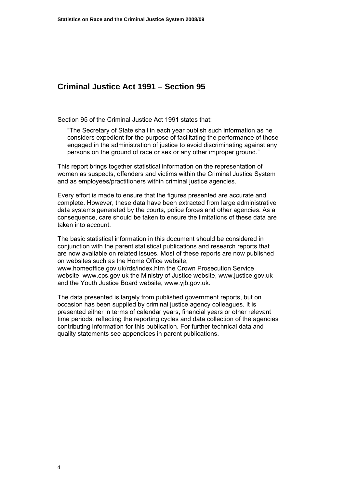# <span id="page-5-0"></span>**Criminal Justice Act 1991 – Section 95**

Section 95 of the Criminal Justice Act 1991 states that:

"The Secretary of State shall in each year publish such information as he considers expedient for the purpose of facilitating the performance of those engaged in the administration of justice to avoid discriminating against any persons on the ground of race or sex or any other improper ground."

This report brings together statistical information on the representation of women as suspects, offenders and victims within the Criminal Justice System and as employees/practitioners within criminal justice agencies.

Every effort is made to ensure that the figures presented are accurate and complete. However, these data have been extracted from large administrative data systems generated by the courts, police forces and other agencies. As a consequence, care should be taken to ensure the limitations of these data are taken into account.

The basic statistical information in this document should be considered in conjunction with the parent statistical publications and research reports that are now available on related issues. Most of these reports are now published on websites such as the Home Office website,

[www.homeoffice.gov.uk/rds/index.htm](http://www.homeoffice.gov.uk/rds/index.htm) the Crown Prosecution Service website, [www.cps.gov.uk](http://www.cps.gov.uk/) the Ministry of Justice website, [www.justice.gov.uk](http://www.justice.gov.uk/) and the Youth Justice Board website, [www.yjb.gov.uk](http://www.yjb.gov.uk/).

The data presented is largely from published government reports, but on occasion has been supplied by criminal justice agency colleagues. It is presented either in terms of calendar years, financial years or other relevant time periods, reflecting the reporting cycles and data collection of the agencies contributing information for this publication. For further technical data and quality statements see appendices in parent publications.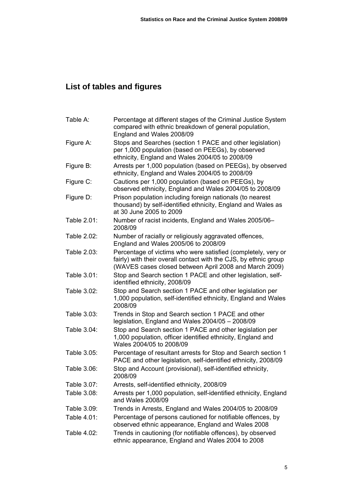# <span id="page-6-0"></span>**List of tables and figures**

| Table A:    | Percentage at different stages of the Criminal Justice System<br>compared with ethnic breakdown of general population,<br>England and Wales 2008/09                                         |
|-------------|---------------------------------------------------------------------------------------------------------------------------------------------------------------------------------------------|
| Figure A:   | Stops and Searches (section 1 PACE and other legislation)<br>per 1,000 population (based on PEEGs), by observed<br>ethnicity, England and Wales 2004/05 to 2008/09                          |
| Figure B:   | Arrests per 1,000 population (based on PEEGs), by observed<br>ethnicity, England and Wales 2004/05 to 2008/09                                                                               |
| Figure C:   | Cautions per 1,000 population (based on PEEGs), by<br>observed ethnicity, England and Wales 2004/05 to 2008/09                                                                              |
| Figure D:   | Prison population including foreign nationals (to nearest<br>thousand) by self-identified ethnicity, England and Wales as<br>at 30 June 2005 to 2009                                        |
| Table 2.01: | Number of racist incidents, England and Wales 2005/06-<br>2008/09                                                                                                                           |
| Table 2.02: | Number of racially or religiously aggravated offences,<br>England and Wales 2005/06 to 2008/09                                                                                              |
| Table 2.03: | Percentage of victims who were satisfied (completely, very or<br>fairly) with their overall contact with the CJS, by ethnic group<br>(WAVES cases closed between April 2008 and March 2009) |
| Table 3.01: | Stop and Search section 1 PACE and other legislation, self-<br>identified ethnicity, 2008/09                                                                                                |
| Table 3.02: | Stop and Search section 1 PACE and other legislation per<br>1,000 population, self-identified ethnicity, England and Wales<br>2008/09                                                       |
| Table 3.03: | Trends in Stop and Search section 1 PACE and other<br>legislation, England and Wales 2004/05 - 2008/09                                                                                      |
| Table 3.04: | Stop and Search section 1 PACE and other legislation per<br>1,000 population, officer identified ethnicity, England and<br>Wales 2004/05 to 2008/09                                         |
| Table 3.05: | Percentage of resultant arrests for Stop and Search section 1<br>PACE and other legislation, self-identified ethnicity, 2008/09                                                             |
| Table 3.06: | Stop and Account (provisional), self-identified ethnicity,<br>2008/09                                                                                                                       |
| Table 3.07: | Arrests, self-identified ethnicity, 2008/09                                                                                                                                                 |
| Table 3.08: | Arrests per 1,000 population, self-identified ethnicity, England<br>and Wales 2008/09                                                                                                       |
| Table 3.09: | Trends in Arrests, England and Wales 2004/05 to 2008/09                                                                                                                                     |
| Table 4.01: | Percentage of persons cautioned for notifiable offences, by<br>observed ethnic appearance, England and Wales 2008                                                                           |
| Table 4.02: | Trends in cautioning (for notifiable offences), by observed<br>ethnic appearance, England and Wales 2004 to 2008                                                                            |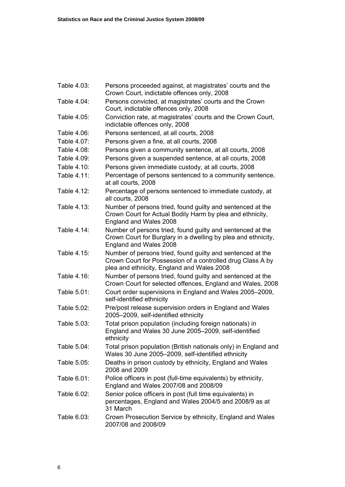| Table 4.03: | Persons proceeded against, at magistrates' courts and the<br>Crown Court, indictable offences only, 2008                                                               |
|-------------|------------------------------------------------------------------------------------------------------------------------------------------------------------------------|
| Table 4.04: | Persons convicted, at magistrates' courts and the Crown<br>Court, indictable offences only, 2008                                                                       |
| Table 4.05: | Conviction rate, at magistrates' courts and the Crown Court,<br>indictable offences only, 2008                                                                         |
| Table 4.06: | Persons sentenced, at all courts, 2008                                                                                                                                 |
| Table 4.07: | Persons given a fine, at all courts, 2008                                                                                                                              |
| Table 4.08: | Persons given a community sentence, at all courts, 2008                                                                                                                |
| Table 4.09: | Persons given a suspended sentence, at all courts, 2008                                                                                                                |
| Table 4.10: | Persons given immediate custody, at all courts, 2008                                                                                                                   |
| Table 4.11: | Percentage of persons sentenced to a community sentence,<br>at all courts, 2008                                                                                        |
| Table 4.12: | Percentage of persons sentenced to immediate custody, at<br>all courts, 2008                                                                                           |
| Table 4.13: | Number of persons tried, found guilty and sentenced at the<br>Crown Court for Actual Bodily Harm by plea and ethnicity,<br>England and Wales 2008                      |
| Table 4.14: | Number of persons tried, found guilty and sentenced at the<br>Crown Court for Burglary in a dwelling by plea and ethnicity,<br>England and Wales 2008                  |
| Table 4.15: | Number of persons tried, found guilty and sentenced at the<br>Crown Court for Possession of a controlled drug Class A by<br>plea and ethnicity, England and Wales 2008 |
| Table 4.16: | Number of persons tried, found guilty and sentenced at the<br>Crown Court for selected offences, England and Wales, 2008                                               |
| Table 5.01: | Court order supervisions in England and Wales 2005-2009,<br>self-identified ethnicity                                                                                  |
| Table 5.02: | Pre/post release supervision orders in England and Wales<br>2005-2009, self-identified ethnicity                                                                       |
| Table 5.03: | Total prison population (including foreign nationals) in<br>England and Wales 30 June 2005-2009, self-identified<br>ethnicity                                          |
| Table 5.04: | Total prison population (British nationals only) in England and<br>Wales 30 June 2005-2009, self-identified ethnicity                                                  |
| Table 5.05: | Deaths in prison custody by ethnicity, England and Wales<br>2008 and 2009                                                                                              |
| Table 6.01: | Police officers in post (full-time equivalents) by ethnicity,<br>England and Wales 2007/08 and 2008/09                                                                 |
| Table 6.02: | Senior police officers in post (full time equivalents) in<br>percentages, England and Wales 2004/5 and 2008/9 as at<br>31 March                                        |
| Table 6.03: | Crown Prosecution Service by ethnicity, England and Wales<br>2007/08 and 2008/09                                                                                       |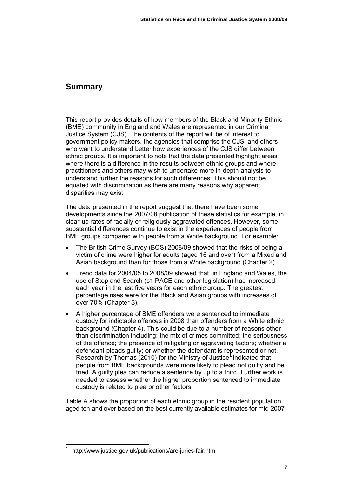# <span id="page-8-0"></span>**Summary**

This report provides details of how members of the Black and Minority Ethnic (BME) community in England and Wales are represented in our Criminal Justice System (CJS). The contents of the report will be of interest to government policy makers, the agencies that comprise the CJS, and others who want to understand better how experiences of the CJS differ between ethnic groups. It is important to note that the data presented highlight areas where there is a difference in the results between ethnic groups and where practitioners and others may wish to undertake more in-depth analysis to understand further the reasons for such differences. This should not be equated with discrimination as there are many reasons why apparent disparities may exist.

The data presented in the report suggest that there have been some developments since the 2007/08 publication of these statistics for example, in clear-up rates of racially or religiously aggravated offences. However, some substantial differences continue to exist in the experiences of people from BME groups compared with people from a White background. For example:

- The British Crime Survey (BCS) 2008/09 showed that the risks of being a victim of crime were higher for adults (aged 16 and over) from a Mixed and Asian background than for those from a White background [\(Chapter 2\)](#page-17-0).
- Trend data for 2004/05 to 2008/09 showed that, in England and Wales, the use of Stop and Search (s1 PACE and other legislation) had increased each year in the last five years for each ethnic group. The greatest percentage rises were for the Black and Asian groups with increases of over 70% [\(Chapter 3\)](#page-23-0).
- A higher percentage of BME offenders were sentenced to immediate custody for indictable offences in 2008 than offenders from a White ethnic background ([Chapter 4\)](#page-32-0). This could be due to a number of reasons other than discrimination including: the mix of crimes committed; the seriousness of the offence; the presence of mitigating or aggravating factors; whether a defendant pleads guilty; or whether the defendant is represented or not. Research by Thomas (2010) for the Ministry of Justice**[1](#page-8-1)** indicated that people from BME backgrounds were more likely to plead not guilty and be tried. A guilty plea can reduce a sentence by up to a third. Further work is needed to assess whether the higher proportion sentenced to immediate custody is related to plea or other factors.

Table A shows the proportion of each ethnic group in the resident population aged ten and over based on the best currently available estimates for mid-2007

<span id="page-8-1"></span> $\overline{\phantom{a}}$ <sup>1</sup> <http://www.justice.gov.uk/publications/are-juries-fair.htm>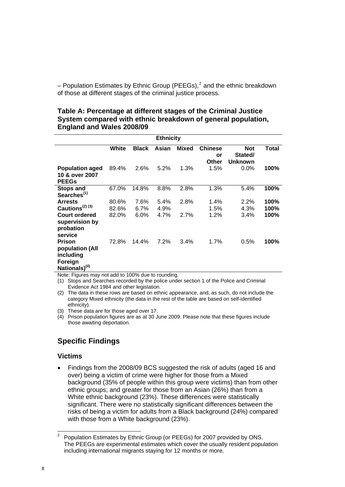$-$  Population Estimates by Ethnic Group (PEEGs),<sup>[2](#page-9-0)</sup> and the ethnic breakdown of those at different stages of the criminal justice process.

### **Table A: Percentage at different stages of the Criminal Justice System compared with ethnic breakdown of general population, England and Wales 2008/09**

|                                                                                 | <b>Ethnicity</b> |              |       |              |                        |                                         |       |  |  |  |  |
|---------------------------------------------------------------------------------|------------------|--------------|-------|--------------|------------------------|-----------------------------------------|-------|--|--|--|--|
|                                                                                 | White            | <b>Black</b> | Asian | <b>Mixed</b> | Chinese<br>or<br>Other | <b>Not</b><br>Stated/<br><b>Unknown</b> | Total |  |  |  |  |
| <b>Population aged</b><br>10 & over 2007<br><b>PEEGs</b>                        | 89.4%            | 2.6%         | 5.2%  | 1.3%         | 1.5%                   | $0.0\%$                                 | 100%  |  |  |  |  |
| Stops and<br>Searches <sup>(1)</sup>                                            | 67.0%            | 14.8%        | 8.8%  | 2.8%         | 1.3%                   | 5.4%                                    | 100%  |  |  |  |  |
| <b>Arrests</b>                                                                  | 80.6%            | 7.6%         | 5.4%  | 2.8%         | 1.4%                   | 2.2%                                    | 100%  |  |  |  |  |
| Cautions <sup>(2)(3)</sup>                                                      | 82.6%            | 6.7%         | 4.9%  |              | 1.5%                   | 4.3%                                    | 100%  |  |  |  |  |
| <b>Court ordered</b><br>supervision by<br>probation<br>service                  | 82.0%            | 6.0%         | 4.7%  | 2.7%         | 1.2%                   | 3.4%                                    | 100%  |  |  |  |  |
| <b>Prison</b><br>population (All<br>including<br>Foreign<br>Nationals $)^{(4)}$ | 72.8%            | 14.4%        | 7.2%  | 3.4%         | 1.7%                   | 0.5%                                    | 100%  |  |  |  |  |

Note: Figures may not add to 100% due to rounding.

(1) Stops and Searches recorded by the police under section 1 of the Police and Criminal Evidence Act 1984 and other legislation.

(2) The data in these rows are based on ethnic appearance, and, as such, do not include the category Mixed ethnicity (the data in the rest of the table are based on self-identified ethnicity).

(3) These data are for those aged over 17.

 $(4)$  Prison population figures are as at 30 June 2009. Please note that these figures include those awaiting deportation.

# **Specific Findings**

### **Victims**

 Findings from the 2008/09 BCS suggested the risk of adults (aged 16 and over) being a victim of crime were higher for those from a Mixed background (35% of people within this group were victims) than from other ethnic groups; and greater for those from an Asian (26%) than from a White ethnic background (23%). These differences were statistically significant. There were no statistically significant differences between the risks of being a victim for adults from a Black background (24%) compared with those from a White background (23%).

<span id="page-9-0"></span><sup>&</sup>lt;sup>2</sup> Population Estimates by Ethnic Group (or PEEGs) for 2007 provided by ONS. The PEEGs are experimental estimates which cover the usually resident population including international migrants staying for 12 months or more.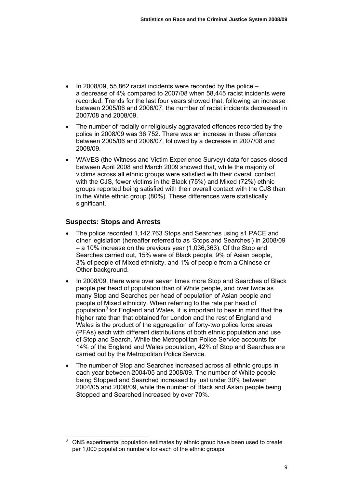- $\bullet$  In 2008/09, 55,862 racist incidents were recorded by the police  $$ a decrease of 4% compared to 2007/08 when 58,445 racist incidents were recorded. Trends for the last four years showed that, following an increase between 2005/06 and 2006/07, the number of racist incidents decreased in 2007/08 and 2008/09.
- The number of racially or religiously aggravated offences recorded by the police in 2008/09 was 36,752. There was an increase in these offences between 2005/06 and 2006/07, followed by a decrease in 2007/08 and 2008/09.
- WAVES (the Witness and Victim Experience Survey) data for cases closed between April 2008 and March 2009 showed that, while the majority of victims across all ethnic groups were satisfied with their overall contact with the CJS, fewer victims in the Black (75%) and Mixed (72%) ethnic groups reported being satisfied with their overall contact with the CJS than in the White ethnic group (80%). These differences were statistically significant.

# **Suspects: Stops and Arrests**

- The police recorded 1,142,763 Stops and Searches using s1 PACE and other legislation (hereafter referred to as 'Stops and Searches') in 2008/09 – a 10% increase on the previous year (1,036,363). Of the Stop and Searches carried out, 15% were of Black people, 9% of Asian people, 3% of people of Mixed ethnicity, and 1% of people from a Chinese or Other background.
- In 2008/09, there were over seven times more Stop and Searches of Black people per head of population than of White people, and over twice as many Stop and Searches per head of population of Asian people and people of Mixed ethnicity. When referring to the rate per head of population<sup>[3](#page-10-0)</sup> for England and Wales, it is important to bear in mind that the higher rate than that obtained for London and the rest of England and Wales is the product of the aggregation of forty-two police force areas (PFAs) each with different distributions of both ethnic population and use of Stop and Search. While the Metropolitan Police Service accounts for 14% of the England and Wales population, 42% of Stop and Searches are carried out by the Metropolitan Police Service.
- The number of Stop and Searches increased across all ethnic groups in each year between 2004/05 and 2008/09. The number of White people being Stopped and Searched increased by just under 30% between 2004/05 and 2008/09, while the number of Black and Asian people being Stopped and Searched increased by over 70%.

<span id="page-10-0"></span> $\overline{a}$ 3 ONS experimental population estimates by ethnic group have been used to create per 1,000 population numbers for each of the ethnic groups.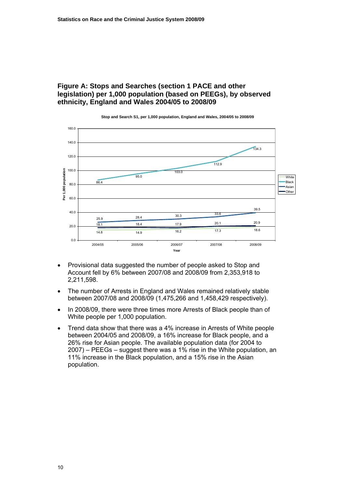# **Figure A: Stops and Searches (section 1 PACE and other legislation) per 1,000 population (based on PEEGs), by observed ethnicity, England and Wales 2004/05 to 2008/09**



**Stop and Search S1, per 1,000 population, England and Wales, 2004/05 to 2008/09**

- Provisional data suggested the number of people asked to Stop and Account fell by 6% between 2007/08 and 2008/09 from 2,353,918 to 2,211,598.
- The number of Arrests in England and Wales remained relatively stable between 2007/08 and 2008/09 (1,475,266 and 1,458,429 respectively).
- In 2008/09, there were three times more Arrests of Black people than of White people per 1,000 population.
- Trend data show that there was a 4% increase in Arrests of White people between 2004/05 and 2008/09, a 16% increase for Black people, and a 26% rise for Asian people. The available population data (for 2004 to 2007) – PEEGs – suggest there was a 1% rise in the White population, an 11% increase in the Black population, and a 15% rise in the Asian population.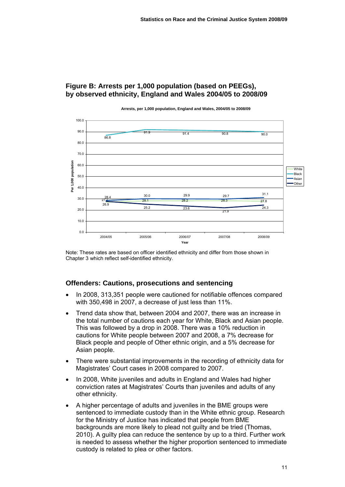# **Figure B: Arrests per 1,000 population (based on PEEGs), by observed ethnicity, England and Wales 2004/05 to 2008/09**



**Arrests, per 1,000 population, England and Wales, 2004/05 to 2008/09**

Note: These rates are based on officer identified ethnicity and differ from those shown in Chapter 3 which reflect self-identified ethnicity.

# **Offenders: Cautions, prosecutions and sentencing**

- In 2008, 313,351 people were cautioned for notifiable offences compared with 350,498 in 2007, a decrease of just less than 11%.
- Trend data show that, between 2004 and 2007, there was an increase in the total number of cautions each year for White, Black and Asian people. This was followed by a drop in 2008. There was a 10% reduction in cautions for White people between 2007 and 2008, a 7% decrease for Black people and people of Other ethnic origin, and a 5% decrease for Asian people.
- There were substantial improvements in the recording of ethnicity data for Magistrates' Court cases in 2008 compared to 2007.
- In 2008, White juveniles and adults in England and Wales had higher conviction rates at Magistrates' Courts than juveniles and adults of any other ethnicity.
- A higher percentage of adults and juveniles in the BME groups were sentenced to immediate custody than in the White ethnic group. Research for the Ministry of Justice has indicated that people from BME backgrounds are more likely to plead not guilty and be tried (Thomas, 2010). A guilty plea can reduce the sentence by up to a third. Further work is needed to assess whether the higher proportion sentenced to immediate custody is related to plea or other factors.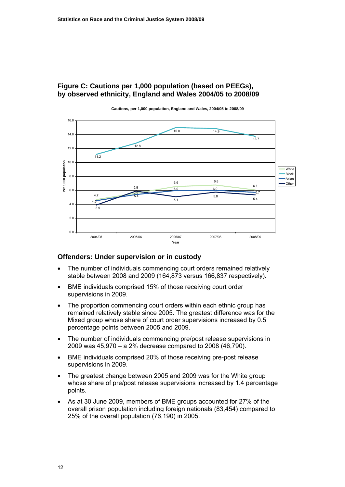



**Cautions, per 1,000 population, England and Wales, 2004/05 to 2008/09**

#### **Offenders: Under supervision or in custody**

- The number of individuals commencing court orders remained relatively stable between 2008 and 2009 (164,873 versus 166,837 respectively).
- BME individuals comprised 15% of those receiving court order supervisions in 2009.
- The proportion commencing court orders within each ethnic group has remained relatively stable since 2005. The greatest difference was for the Mixed group whose share of court order supervisions increased by 0.5 percentage points between 2005 and 2009.
- The number of individuals commencing pre/post release supervisions in 2009 was 45,970 – a 2% decrease compared to 2008 (46,790).
- BME individuals comprised 20% of those receiving pre-post release supervisions in 2009.
- The greatest change between 2005 and 2009 was for the White group whose share of pre/post release supervisions increased by 1.4 percentage points.
- As at 30 June 2009, members of BME groups accounted for 27% of the overall prison population including foreign nationals (83,454) compared to 25% of the overall population (76,190) in 2005.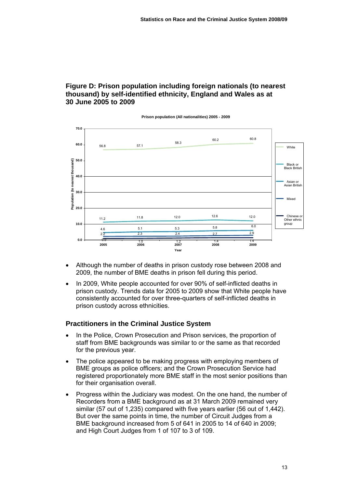# **Figure D: Prison population including foreign nationals (to nearest thousand) by self-identified ethnicity, England and Wales as at 30 June 2005 to 2009**



**Prison population (All nationalities) 2005 - 2009**

- Although the number of deaths in prison custody rose between 2008 and 2009, the number of BME deaths in prison fell during this period.
- In 2009, White people accounted for over 90% of self-inflicted deaths in prison custody. Trends data for 2005 to 2009 show that White people have consistently accounted for over three-quarters of self-inflicted deaths in prison custody across ethnicities.

### **Practitioners in the Criminal Justice System**

- In the Police, Crown Prosecution and Prison services, the proportion of staff from BME backgrounds was similar to or the same as that recorded for the previous year.
- The police appeared to be making progress with employing members of BME groups as police officers; and the Crown Prosecution Service had registered proportionately more BME staff in the most senior positions than for their organisation overall.
- Progress within the Judiciary was modest. On the one hand, the number of Recorders from a BME background as at 31 March 2009 remained very similar (57 out of 1,235) compared with five years earlier (56 out of 1,442). But over the same points in time, the number of Circuit Judges from a BME background increased from 5 of 641 in 2005 to 14 of 640 in 2009; and High Court Judges from 1 of 107 to 3 of 109.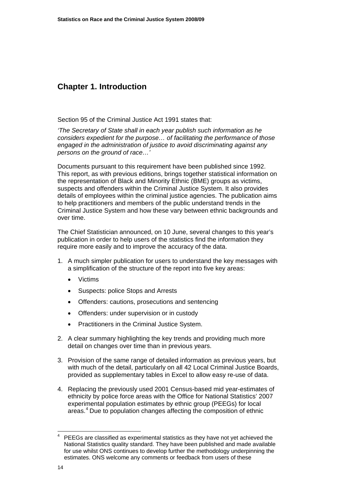# <span id="page-15-0"></span>**Chapter 1. Introduction**

Section 95 of the Criminal Justice Act 1991 states that:

*'The Secretary of State shall in each year publish such information as he considers expedient for the purpose… of facilitating the performance of those engaged in the administration of justice to avoid discriminating against any persons on the ground of race…'* 

Documents pursuant to this requirement have been published since 1992. This report, as with previous editions, brings together statistical information on the representation of Black and Minority Ethnic (BME) groups as victims, suspects and offenders within the Criminal Justice System. It also provides details of employees within the criminal justice agencies. The publication aims to help practitioners and members of the public understand trends in the Criminal Justice System and how these vary between ethnic backgrounds and over time.

The Chief Statistician announced, on 10 June, several changes to this year's publication in order to help users of the statistics find the information they require more easily and to improve the accuracy of the data.

- 1. A much simpler publication for users to understand the key messages with a simplification of the structure of the report into five key areas:
	- Victims
	- Suspects: police Stops and Arrests
	- Offenders: cautions, prosecutions and sentencing
	- Offenders: under supervision or in custody
	- Practitioners in the Criminal Justice System.
- 2. A clear summary highlighting the key trends and providing much more detail on changes over time than in previous years.
- 3. Provision of the same range of detailed information as previous years, but with much of the detail, particularly on all 42 Local Criminal Justice Boards, provided as supplementary tables in Excel to allow easy re-use of data.
- 4. Replacing the previously used 2001 Census-based mid year-estimates of ethnicity by police force areas with the Office for National Statistics' 2007 experimental population estimates by ethnic group (PEEGs) for local areas.<sup>[4](#page-15-1)</sup> Due to population changes affecting the composition of ethnic

<span id="page-15-1"></span> $\frac{1}{4}$  PEEGs are classified as experimental statistics as they have not yet achieved the National Statistics quality standard. They have been published and made available for use whilst ONS continues to develop further the methodology underpinning the estimates. ONS welcome any comments or feedback from users of these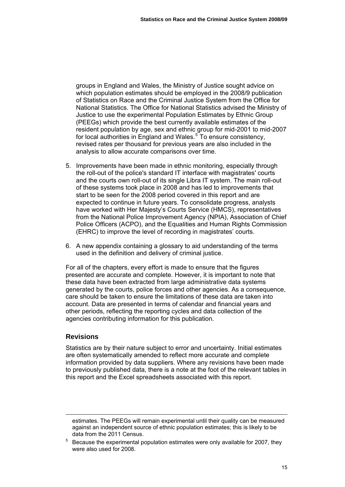groups in England and Wales, the Ministry of Justice sought advice on which population estimates should be employed in the 2008/9 publication of Statistics on Race and the Criminal Justice System from the Office for National Statistics. The Office for National Statistics advised the Ministry of Justice to use the experimental Population Estimates by Ethnic Group (PEEGs) which provide the best currently available estimates of the resident population by age, sex and ethnic group for mid-2001 to mid-2007 for local authorities in England and Wales.<sup>5</sup> To ensure consistency, revised rates per thousand for previous years are also included in the analysis to allow accurate comparisons over time.

- 5. Improvements have been made in ethnic monitoring, especially through the roll-out of the police's standard IT interface with magistrates' courts and the courts own roll-out of its single Libra IT system. The main roll-out of these systems took place in 2008 and has led to improvements that start to be seen for the 2008 period covered in this report and are expected to continue in future years. To consolidate progress, analysts have worked with Her Majesty's Courts Service (HMCS), representatives from the National Police Improvement Agency (NPIA), Association of Chief Police Officers (ACPO), and the Equalities and Human Rights Commission (EHRC) to improve the level of recording in magistrates' courts.
- 6. A new appendix containing a glossary to aid understanding of the terms used in the definition and delivery of criminal justice.

For all of the chapters, every effort is made to ensure that the figures presented are accurate and complete. However, it is important to note that these data have been extracted from large administrative data systems generated by the courts, police forces and other agencies. As a consequence, care should be taken to ensure the limitations of these data are taken into account. Data are presented in terms of calendar and financial years and other periods, reflecting the reporting cycles and data collection of the agencies contributing information for this publication.

# **Revisions**

<u>.</u>

Statistics are by their nature subject to error and uncertainty. Initial estimates are often systematically amended to reflect more accurate and complete information provided by data suppliers. Where any revisions have been made to previously published data, there is a note at the foot of the relevant tables in this report and the Excel spreadsheets associated with this report.

estimates. The PEEGs will remain experimental until their quality can be measured against an independent source of ethnic population estimates; this is likely to be data from the 2011 Census.

<sup>5</sup> Because the experimental population estimates were only available for 2007, they were also used for 2008.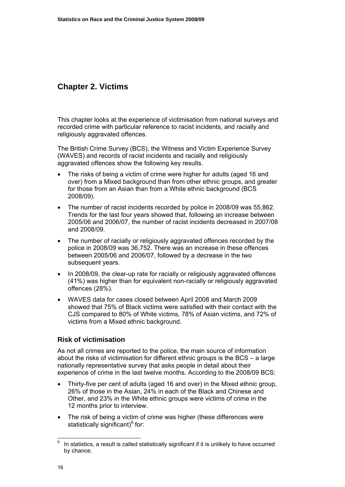# <span id="page-17-0"></span>**Chapter 2. Victims**

This chapter looks at the experience of victimisation from national surveys and recorded crime with particular reference to racist incidents, and racially and religiously aggravated offences.

The British Crime Survey (BCS), the Witness and Victim Experience Survey (WAVES) and records of racist incidents and racially and religiously aggravated offences show the following key results.

- The risks of being a victim of crime were higher for adults (aged 16 and over) from a Mixed background than from other ethnic groups, and greater for those from an Asian than from a White ethnic background (BCS 2008/09).
- The number of racist incidents recorded by police in 2008/09 was 55,862. Trends for the last four years showed that, following an increase between 2005/06 and 2006/07, the number of racist incidents decreased in 2007/08 and 2008/09.
- The number of racially or religiously aggravated offences recorded by the police in 2008/09 was 36,752. There was an increase in these offences between 2005/06 and 2006/07, followed by a decrease in the two subsequent years.
- In 2008/09, the clear-up rate for racially or religiously aggravated offences (41%) was higher than for equivalent non-racially or religiously aggravated offences (28%).
- WAVES data for cases closed between April 2008 and March 2009 showed that 75% of Black victims were satisfied with their contact with the CJS compared to 80% of White victims, 78% of Asian victims, and 72% of victims from a Mixed ethnic background.

# **Risk of victimisation**

As not all crimes are reported to the police, the main source of information about the risks of victimisation for different ethnic groups is the BCS – a large nationally representative survey that asks people in detail about their experience of crime in the last twelve months. According to the 2008/09 BCS:

- Thirty-five per cent of adults (aged 16 and over) in the Mixed ethnic group, 26% of those in the Asian, 24% in each of the Black and Chinese and Other, and 23% in the White ethnic groups were victims of crime in the 12 months prior to interview.
- The risk of being a victim of crime was higher (these differences were statistically significant) $6$  for:

<span id="page-17-1"></span> 6 In statistics, a result is called statistically significant if it is unlikely to have occurred by chance.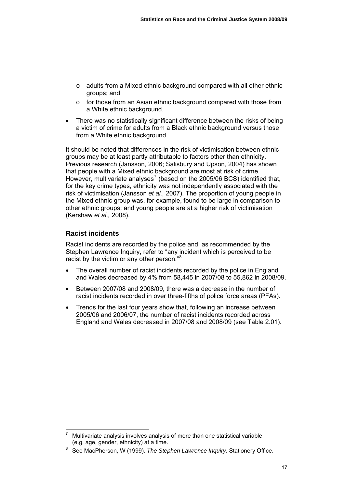- o adults from a Mixed ethnic background compared with all other ethnic groups; and
- $\circ$  for those from an Asian ethnic background compared with those from a White ethnic background.
- There was no statistically significant difference between the risks of being a victim of crime for adults from a Black ethnic background versus those from a White ethnic background.

It should be noted that differences in the risk of victimisation between ethnic groups may be at least partly attributable to factors other than ethnicity. Previous research (Jansson, 2006; Salisbury and Upson, 2004) has shown that people with a Mixed ethnic background are most at risk of crime. However, multivariate analyses<sup>[7](#page-18-0)</sup> (based on the 2005/06 BCS) identified that, for the key crime types, ethnicity was not independently associated with the risk of victimisation (Jansson *et al.,* 2007). The proportion of young people in the Mixed ethnic group was, for example, found to be large in comparison to other ethnic groups; and young people are at a higher risk of victimisation (Kershaw *et al.,* 2008).

# **Racist incidents**

Racist incidents are recorded by the police and, as recommended by the Stephen Lawrence Inquiry, refer to "any incident which is perceived to be racist by the victim or any other person."<sup>[8](#page-18-1)</sup>

- The overall number of racist incidents recorded by the police in England and Wales decreased by 4% from 58,445 in 2007/08 to 55,862 in 2008/09.
- Between 2007/08 and 2008/09, there was a decrease in the number of racist incidents recorded in over three-fifths of police force areas (PFAs).
- Trends for the last four years show that, following an increase between 2005/06 and 2006/07, the number of racist incidents recorded across England and Wales decreased in 2007/08 and 2008/09 (see Table 2.01).

<span id="page-18-0"></span> $\overline{a}$ 7 Multivariate analysis involves analysis of more than one statistical variable (e.g. age, gender, ethnicity) at a time.

<span id="page-18-1"></span><sup>8</sup> See MacPherson, W (1999). *The Stephen Lawrence Inquiry.* Stationery Office.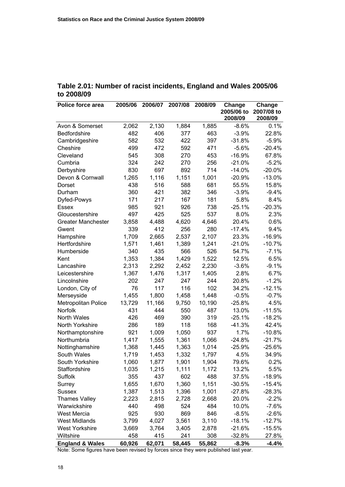| Police force area          | 2005/06 | 2006/07 | 2007/08 | 2008/09 | Change     | Change     |
|----------------------------|---------|---------|---------|---------|------------|------------|
|                            |         |         |         |         | 2005/06 to | 2007/08 to |
|                            |         |         |         |         | 2008/09    | 2008/09    |
| Avon & Somerset            | 2,062   | 2,130   | 1,884   | 1,885   | $-8.6%$    | 0.1%       |
| Bedfordshire               | 482     | 406     | 377     | 463     | $-3.9%$    | 22.8%      |
| Cambridgeshire             | 582     | 532     | 422     | 397     | $-31.8%$   | $-5.9%$    |
| Cheshire                   | 499     | 472     | 592     | 471     | $-5.6%$    | $-20.4%$   |
| Cleveland                  | 545     | 308     | 270     | 453     | $-16.9%$   | 67.8%      |
| Cumbria                    | 324     | 242     | 270     | 256     | $-21.0%$   | $-5.2%$    |
| Derbyshire                 | 830     | 697     | 892     | 714     | $-14.0%$   | $-20.0\%$  |
| Devon & Cornwall           | 1,265   | 1,116   | 1,151   | 1,001   | $-20.9%$   | $-13.0%$   |
| Dorset                     | 438     | 516     | 588     | 681     | 55.5%      | 15.8%      |
| Durham                     | 360     | 421     | 382     | 346     | $-3.9%$    | $-9.4%$    |
| Dyfed-Powys                | 171     | 217     | 167     | 181     | 5.8%       | 8.4%       |
| <b>Essex</b>               | 985     | 921     | 926     | 738     | $-25.1%$   | $-20.3%$   |
| Gloucestershire            | 497     | 425     | 525     | 537     | 8.0%       | 2.3%       |
| <b>Greater Manchester</b>  | 3,858   | 4,488   | 4,620   | 4,646   | 20.4%      | 0.6%       |
| Gwent                      | 339     | 412     | 256     | 280     | $-17.4%$   | 9.4%       |
| Hampshire                  | 1,709   | 2,665   | 2,537   | 2,107   | 23.3%      | $-16.9%$   |
| Hertfordshire              | 1,571   | 1,461   | 1,389   | 1,241   | $-21.0%$   | $-10.7%$   |
| Humberside                 | 340     | 435     | 566     | 526     | 54.7%      | $-7.1%$    |
| Kent                       | 1,353   | 1,384   | 1,429   | 1,522   | 12.5%      | 6.5%       |
| Lancashire                 | 2,313   | 2,292   | 2,452   | 2,230   | $-3.6%$    | $-9.1%$    |
| Leicestershire             | 1,367   | 1,476   | 1,317   | 1,405   | 2.8%       | 6.7%       |
| Lincolnshire               | 202     | 247     | 247     | 244     | 20.8%      | $-1.2%$    |
| London, City of            | 76      | 117     | 116     | 102     | 34.2%      | $-12.1%$   |
| Merseyside                 | 1,455   | 1,800   | 1,458   | 1,448   | $-0.5%$    | $-0.7%$    |
| Metropolitan Police        | 13,729  | 11,166  | 9,750   | 10,190  | $-25.8%$   | 4.5%       |
| Norfolk                    | 431     | 444     | 550     | 487     | 13.0%      | $-11.5%$   |
| North Wales                | 426     | 469     | 390     | 319     | $-25.1%$   | $-18.2%$   |
| North Yorkshire            | 286     | 189     | 118     | 168     | $-41.3%$   | 42.4%      |
| Northamptonshire           | 921     | 1,009   | 1,050   | 937     | 1.7%       | $-10.8%$   |
| Northumbria                | 1,417   | 1,555   | 1,361   | 1,066   | $-24.8%$   | $-21.7%$   |
| Nottinghamshire            | 1,368   | 1,445   | 1,363   | 1,014   | $-25.9%$   | $-25.6%$   |
| South Wales                | 1,719   | 1,453   | 1,332   | 1,797   | 4.5%       | 34.9%      |
| South Yorkshire            | 1,060   | 1,877   | 1,901   | 1,904   | 79.6%      | 0.2%       |
| Staffordshire              | 1,035   | 1,215   | 1,111   | 1,172   | 13.2%      | $5.5\%$    |
| Suffolk                    | 355     | 437     | 602     | 488     | 37.5%      | -18.9%     |
| Surrey                     | 1,655   | 1,670   | 1,360   | 1,151   | $-30.5%$   | $-15.4%$   |
| <b>Sussex</b>              | 1,387   | 1,513   | 1,396   | 1,001   | $-27.8%$   | $-28.3%$   |
| <b>Thames Valley</b>       | 2,223   | 2,815   | 2,728   | 2,668   | 20.0%      | $-2.2%$    |
| Warwickshire               | 440     | 498     | 524     | 484     | 10.0%      | -7.6%      |
| West Mercia                | 925     | 930     | 869     | 846     | $-8.5%$    | $-2.6%$    |
| <b>West Midlands</b>       | 3,799   | 4,027   | 3,561   | 3,110   | $-18.1%$   | $-12.7%$   |
| <b>West Yorkshire</b>      | 3,669   | 3,764   | 3,405   | 2,878   | $-21.6%$   | -15.5%     |
| Wiltshire                  | 458     | 415     | 241     | 308     | $-32.8%$   | 27.8%      |
| <b>England &amp; Wales</b> | 60,926  | 62,071  | 58,445  | 55,862  | $-8.3%$    | -4.4%      |

# **Table 2.01: Number of racist incidents, England and Wales 2005/06 to 2008/09**

Note: Some figures have been revised by forces since they were published last year.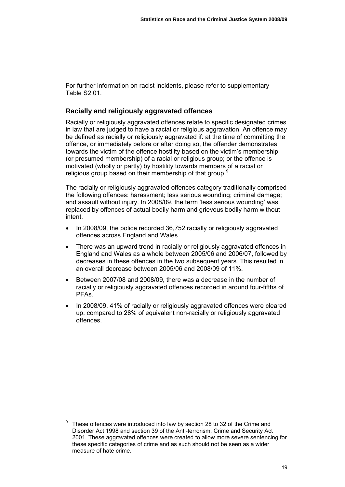For further information on racist incidents, please refer to supplementary Table S2.01.

### **Racially and religiously aggravated offences**

Racially or religiously aggravated offences relate to specific designated crimes in law that are judged to have a racial or religious aggravation. An offence may be defined as racially or religiously aggravated if: at the time of committing the offence, or immediately before or after doing so, the offender demonstrates towards the victim of the offence hostility based on the victim's membership (or presumed membership) of a racial or religious group; or the offence is motivated (wholly or partly) by hostility towards members of a racial or religious group based on their membership of that group.<sup>[9](#page-20-0)</sup>

The racially or religiously aggravated offences category traditionally comprised the following offences: harassment; less serious wounding; criminal damage; and assault without injury. In 2008/09, the term 'less serious wounding' was replaced by offences of actual bodily harm and grievous bodily harm without intent.

- In 2008/09, the police recorded 36,752 racially or religiously aggravated offences across England and Wales.
- There was an upward trend in racially or religiously aggravated offences in England and Wales as a whole between 2005/06 and 2006/07, followed by decreases in these offences in the two subsequent years. This resulted in an overall decrease between 2005/06 and 2008/09 of 11%.
- Between 2007/08 and 2008/09, there was a decrease in the number of racially or religiously aggravated offences recorded in around four-fifths of PFAs.
- In 2008/09, 41% of racially or religiously aggravated offences were cleared up, compared to 28% of equivalent non-racially or religiously aggravated offences.

<span id="page-20-0"></span> $\overline{a}$ 9 These offences were introduced into law by section 28 to 32 of the Crime and Disorder Act 1998 and section 39 of the Anti-terrorism, Crime and Security Act 2001. These aggravated offences were created to allow more severe sentencing for these specific categories of crime and as such should not be seen as a wider measure of hate crime.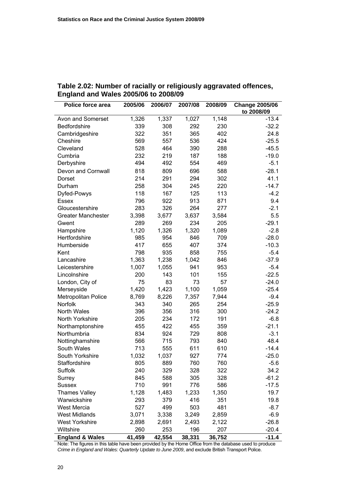| Police force area          | 2005/06 | 2006/07 | 2007/08 | 2008/09 | <b>Change 2005/06</b> |
|----------------------------|---------|---------|---------|---------|-----------------------|
| Avon and Somerset          | 1,326   | 1,337   | 1,027   | 1,148   | to 2008/09<br>$-13.4$ |
| Bedfordshire               | 339     | 308     | 292     | 230     | $-32.2$               |
| Cambridgeshire             | 322     | 351     | 365     | 402     | 24.8                  |
| Cheshire                   | 569     | 557     | 536     | 424     | $-25.5$               |
| Cleveland                  | 528     | 464     | 390     | 288     | $-45.5$               |
| Cumbria                    | 232     | 219     | 187     | 188     | $-19.0$               |
| Derbyshire                 | 494     | 492     | 554     | 469     | $-5.1$                |
| Devon and Cornwall         | 818     | 809     | 696     | 588     | $-28.1$               |
| Dorset                     | 214     | 291     | 294     | 302     | 41.1                  |
| Durham                     | 258     | 304     | 245     | 220     | $-14.7$               |
| Dyfed-Powys                | 118     | 167     | 125     | 113     | $-4.2$                |
| <b>Essex</b>               | 796     | 922     | 913     | 871     | 9.4                   |
| Gloucestershire            | 283     | 326     | 264     | 277     | $-2.1$                |
| <b>Greater Manchester</b>  | 3,398   | 3,677   | 3,637   | 3,584   | 5.5                   |
| Gwent                      | 289     | 269     | 234     | 205     | $-29.1$               |
| Hampshire                  | 1,120   | 1,326   | 1,320   | 1,089   | $-2.8$                |
| Hertfordshire              | 985     | 954     | 846     | 709     | $-28.0$               |
| Humberside                 | 417     | 655     | 407     | 374     | $-10.3$               |
| Kent                       | 798     | 935     | 858     | 755     | $-5.4$                |
| Lancashire                 | 1,363   | 1,238   | 1,042   | 846     | $-37.9$               |
| Leicestershire             | 1,007   | 1,055   | 941     | 953     | $-5.4$                |
| Lincolnshire               | 200     | 143     | 101     | 155     | $-22.5$               |
| London, City of            | 75      | 83      | 73      | 57      | $-24.0$               |
| Merseyside                 | 1,420   | 1,423   | 1,100   | 1,059   | $-25.4$               |
| Metropolitan Police        | 8,769   | 8,226   | 7,357   | 7,944   | $-9.4$                |
| Norfolk                    | 343     | 340     | 265     | 254     | $-25.9$               |
| North Wales                | 396     | 356     | 316     | 300     | $-24.2$               |
| North Yorkshire            | 205     | 234     | 172     | 191     | $-6.8$                |
| Northamptonshire           | 455     | 422     | 455     | 359     | $-21.1$               |
| Northumbria                | 834     | 924     | 729     | 808     | $-3.1$                |
| Nottinghamshire            | 566     | 715     | 793     | 840     | 48.4                  |
| South Wales                | 713     | 555     | 611     | 610     | $-14.4$               |
| South Yorkshire            | 1,032   | 1,037   | 927     | 774     | $-25.0$               |
| Staffordshire              | 805     | 889     | 760     | 760     | $-5.6$                |
| Suffolk                    | 240     | 329     | 328     | 322     | 34.2                  |
| Surrey                     | 845     | 588     | 305     | 328     | $-61.2$               |
| <b>Sussex</b>              | 710     | 991     | 776     | 586     | $-17.5$               |
| <b>Thames Valley</b>       | 1,128   | 1,483   | 1,233   | 1,350   | 19.7                  |
| Warwickshire               | 293     | 379     | 416     | 351     | 19.8                  |
| <b>West Mercia</b>         | 527     | 499     | 503     | 481     | $-8.7$                |
| <b>West Midlands</b>       | 3,071   | 3,338   | 3,249   | 2,859   | $-6.9$                |
| <b>West Yorkshire</b>      | 2,898   | 2,691   | 2,493   | 2,122   | $-26.8$               |
| Wiltshire                  | 260     | 253     | 196     | 207     | $-20.4$               |
| <b>England &amp; Wales</b> | 41,459  | 42,554  | 38,331  | 36,752  | $-11.4$               |

### **Table 2.02: Number of racially or religiously aggravated offences, England and Wales 2005/06 to 2008/09**

Note: The figures in this table have been provided by the Home Office from the database used to produce *Crime in England and Wales: Quarterly Update to June 2009*, and exclude British Transport Police.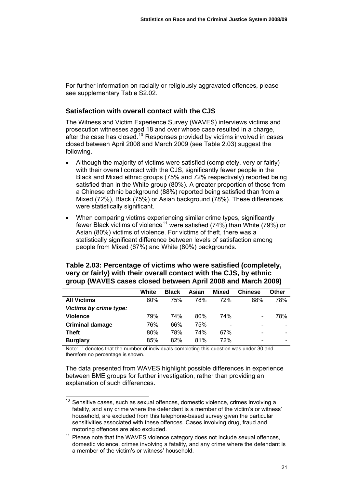For further information on racially or religiously aggravated offences, please see supplementary Table S2.02.

### **Satisfaction with overall contact with the CJS**

The Witness and Victim Experience Survey (WAVES) interviews victims and prosecution witnesses aged 18 and over whose case resulted in a charge, after the case has closed.<sup>[10](#page-22-0)</sup> Responses provided by victims involved in cases closed between April 2008 and March 2009 (see Table 2.03) suggest the following.

- Although the majority of victims were satisfied (completely, very or fairly) with their overall contact with the CJS, significantly fewer people in the Black and Mixed ethnic groups (75% and 72% respectively) reported being satisfied than in the White group (80%). A greater proportion of those from a Chinese ethnic background (88%) reported being satisfied than from a Mixed (72%), Black (75%) or Asian background (78%). These differences were statistically significant.
- When comparing victims experiencing similar crime types, significantly fewer Black victims of violence<sup>[11](#page-22-1)</sup> were satisfied (74%) than White (79%) or Asian (80%) victims of violence. For victims of theft, there was a statistically significant difference between levels of satisfaction among people from Mixed (67%) and White (80%) backgrounds.

# **Table 2.03: Percentage of victims who were satisfied (completely, very or fairly) with their overall contact with the CJS, by ethnic group (WAVES cases closed between April 2008 and March 2009)**

|                        | White | <b>Black</b> | Asian | Mixed | Chinese                  | Other                        |
|------------------------|-------|--------------|-------|-------|--------------------------|------------------------------|
| <b>All Victims</b>     | 80%   | 75%          | 78%   | 72%   | 88%                      | 78%                          |
| Victims by crime type: |       |              |       |       |                          |                              |
| <b>Violence</b>        | 79%   | 74%          | 80%   | 74%   | $\overline{\phantom{a}}$ | 78%                          |
| <b>Criminal damage</b> | 76%   | 66%          | 75%   |       | -                        |                              |
| <b>Theft</b>           | 80%   | 78%          | 74%   | 67%   | -                        | $\qquad \qquad \blacksquare$ |
| <b>Burglary</b>        | 85%   | 82%          | 81%   | 72%   | $\overline{\phantom{0}}$ | $\overline{\phantom{0}}$     |

Note: '-' denotes that the number of individuals completing this question was under 30 and therefore no percentage is shown.

The data presented from WAVES highlight possible differences in experience between BME groups for further investigation, rather than providing an explanation of such differences.

<span id="page-22-0"></span> $10$ Sensitive cases, such as sexual offences, domestic violence, crimes involving a fatality, and any crime where the defendant is a member of the victim's or witness' household, are excluded from this telephone-based survey given the particular sensitivities associated with these offences. Cases involving drug, fraud and motoring offences are also excluded.

<span id="page-22-1"></span> $11$  Please note that the WAVES violence category does not include sexual offences, domestic violence, crimes involving a fatality, and any crime where the defendant is a member of the victim's or witness' household.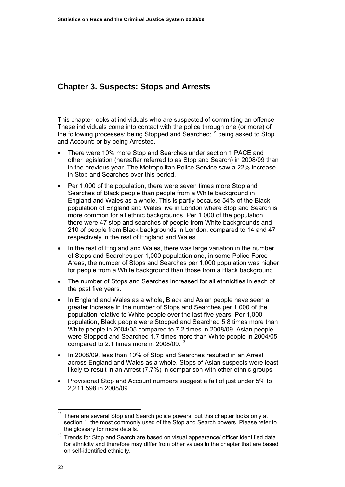# <span id="page-23-0"></span>**Chapter 3. Suspects: Stops and Arrests**

This chapter looks at individuals who are suspected of committing an offence. These individuals come into contact with the police through one (or more) of the following processes: being Stopped and Searched;**[12](#page-23-1)** being asked to Stop and Account; or by being Arrested.

- There were 10% more Stop and Searches under section 1 PACE and other legislation (hereafter referred to as Stop and Search) in 2008/09 than in the previous year. The Metropolitan Police Service saw a 22% increase in Stop and Searches over this period.
- Per 1,000 of the population, there were seven times more Stop and Searches of Black people than people from a White background in England and Wales as a whole. This is partly because 54% of the Black population of England and Wales live in London where Stop and Search is more common for all ethnic backgrounds. Per 1,000 of the population there were 47 stop and searches of people from White backgrounds and 210 of people from Black backgrounds in London, compared to 14 and 47 respectively in the rest of England and Wales.
- In the rest of England and Wales, there was large variation in the number of Stops and Searches per 1,000 population and, in some Police Force Areas, the number of Stops and Searches per 1,000 population was higher for people from a White background than those from a Black background.
- The number of Stops and Searches increased for all ethnicities in each of the past five years.
- In England and Wales as a whole, Black and Asian people have seen a greater increase in the number of Stops and Searches per 1,000 of the population relative to White people over the last five years. Per 1,000 population, Black people were Stopped and Searched 5.8 times more than White people in 2004/05 compared to 7.2 times in 2008/09. Asian people were Stopped and Searched 1.7 times more than White people in 2004/05 compared to 2.1 times more in  $2008/09$ .<sup>[13](#page-23-2)</sup>
- In 2008/09, less than 10% of Stop and Searches resulted in an Arrest across England and Wales as a whole. Stops of Asian suspects were least likely to result in an Arrest (7.7%) in comparison with other ethnic groups.
- Provisional Stop and Account numbers suggest a fall of just under 5% to 2,211,598 in 2008/09.

<span id="page-23-1"></span> $\overline{\phantom{a}}$  $12$  There are several Stop and Search police powers, but this chapter looks only at section 1, the most commonly used of the Stop and Search powers. Please refer to the glossary for more details.

<span id="page-23-2"></span><sup>&</sup>lt;sup>13</sup> Trends for Stop and Search are based on visual appearance/ officer identified data for ethnicity and therefore may differ from other values in the chapter that are based on self-identified ethnicity.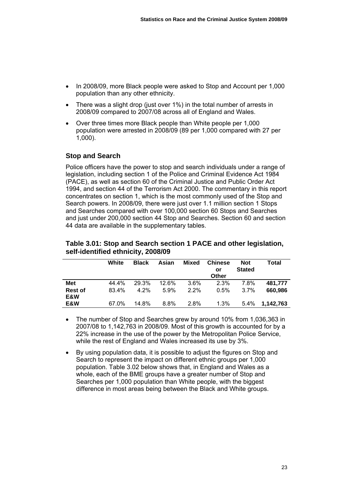- In 2008/09, more Black people were asked to Stop and Account per 1,000 population than any other ethnicity.
- There was a slight drop (just over 1%) in the total number of arrests in 2008/09 compared to 2007/08 across all of England and Wales.
- Over three times more Black people than White people per 1,000 population were arrested in 2008/09 (89 per 1,000 compared with 27 per 1,000).

# **Stop and Search**

Police officers have the power to stop and search individuals under a range of legislation, including section 1 of the Police and Criminal Evidence Act 1984 (PACE), as well as section 60 of the Criminal Justice and Public Order Act 1994, and section 44 of the Terrorism Act 2000. The commentary in this report concentrates on section 1, which is the most commonly used of the Stop and Search powers. In 2008/09, there were just over 1.1 million section 1 Stops and Searches compared with over 100,000 section 60 Stops and Searches and just under 200,000 section 44 Stop and Searches. Section 60 and section 44 data are available in the supplementary tables.

# **Table 3.01: Stop and Search section 1 PACE and other legislation, self-identified ethnicity, 2008/09**

|                | White | <b>Black</b> | Asian   | Mixed   | <b>Chinese</b> | <b>Not</b>    | Total     |
|----------------|-------|--------------|---------|---------|----------------|---------------|-----------|
|                |       |              |         |         | or             | <b>Stated</b> |           |
|                |       |              |         |         | Other          |               |           |
| <b>Met</b>     | 44.4% | 29.3%        | 12.6%   | 3.6%    | 2.3%           | 7.8%          | 481.777   |
| <b>Rest of</b> | 83.4% | 4.2%         | 5.9%    | $2.2\%$ | 0.5%           | $3.7\%$       | 660,986   |
| E&W            |       |              |         |         |                |               |           |
| E&W            | 67.0% | 14.8%        | $8.8\%$ | 2.8%    | $1.3\%$        | $5.4\%$       | 1,142,763 |

- The number of Stop and Searches grew by around 10% from 1,036,363 in 2007/08 to 1,142,763 in 2008/09. Most of this growth is accounted for by a 22% increase in the use of the power by the Metropolitan Police Service, while the rest of England and Wales increased its use by 3%.
- By using population data, it is possible to adjust the figures on Stop and Search to represent the impact on different ethnic groups per 1,000 population. Table 3.02 below shows that, in England and Wales as a whole, each of the BME groups have a greater number of Stop and Searches per 1,000 population than White people, with the biggest difference in most areas being between the Black and White groups.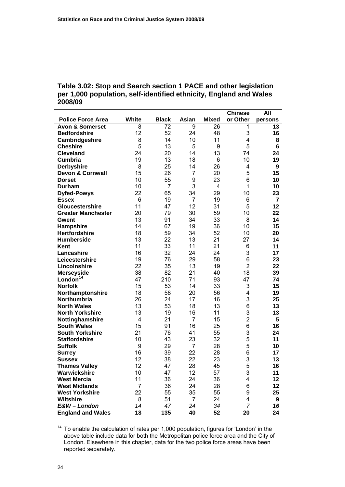# **Table 3.02: Stop and Search section 1 PACE and other legislation per 1,000 population, self-identified ethnicity, England and Wales 2008/09**

|                             |              |                |                |                | <b>Chinese</b> | All     |
|-----------------------------|--------------|----------------|----------------|----------------|----------------|---------|
| <b>Police Force Area</b>    | <b>White</b> | <b>Black</b>   | Asian          | <b>Mixed</b>   | or Other       | persons |
| <b>Avon &amp; Somerset</b>  | 8            | 72             | 9              | 26             | 1              | 13      |
| <b>Bedfordshire</b>         | 12           | 52             | 24             | 48             | 3              | 16      |
| Cambridgeshire              | 8            | 14             | 10             | 11             | 4              | 8       |
| <b>Cheshire</b>             | 5            | 13             | 5              | 9              | 5              | 6       |
| <b>Cleveland</b>            | 24           | 20             | 14             | 13             | 74             | 24      |
| Cumbria                     | 19           | 13             | 18             | 6              | 10             | 19      |
| <b>Derbyshire</b>           | 8            | 25             | 14             | 26             | 4              | 9       |
| <b>Devon &amp; Cornwall</b> | 15           | 26             | 7              | 20             | 5              | 15      |
| <b>Dorset</b>               | 10           | 55             | 9              | 23             | 6              | 10      |
| <b>Durham</b>               | 10           | $\overline{7}$ | 3              | $\overline{4}$ | 1              | 10      |
| <b>Dyfed-Powys</b>          | 22           | 65             | 34             | 29             | 10             | 23      |
| <b>Essex</b>                | 6            | 19             | 7              | 19             | 6              | 7       |
| <b>Gloucestershire</b>      | 11           | 47             | 12             | 31             | 5              | 12      |
| <b>Greater Manchester</b>   | 20           | 79             | 30             | 59             | 10             | 22      |
| Gwent                       | 13           | 91             | 34             | 33             | 8              | 14      |
| Hampshire                   | 14           | 67             | 19             | 36             | 10             | 15      |
| <b>Hertfordshire</b>        | 18           | 59             | 34             | 52             | 10             | 20      |
| <b>Humberside</b>           | 13           | 22             | 13             | 21             | 27             | 14      |
| Kent                        | 11           | 33             | 11             | 21             | 6              | 11      |
| Lancashire                  | 16           | 32             | 24             | 24             | 3              | 17      |
| Leicestershire              | 19           | 76             | 29             | 58             | 6              | 23      |
| Lincolnshire                | 22           | 35             | 13             | 19             | $\overline{2}$ | 22      |
| <b>Merseyside</b>           | 38           | 82             | 21             | 40             | 18             | 39      |
| London $14$                 | 47           | 210            | 71             | 93             | 47             | 74      |
| <b>Norfolk</b>              | 15           | 53             | 14             | 33             | 3              | 15      |
| Northamptonshire            | 18           | 58             | 20             | 56             | 4              | 19      |
| <b>Northumbria</b>          | 26           | 24             | 17             | 16             | 3              | 25      |
| <b>North Wales</b>          | 13           | 53             | 18             | 13             | 6              | 13      |
| <b>North Yorkshire</b>      | 13           | 19             | 16             | 11             | 3              | 13      |
| Nottinghamshire             | 4            | 21             | $\overline{7}$ | 15             | $\overline{2}$ | 5       |
| <b>South Wales</b>          | 15           | 91             | 16             | 25             | 6              | 16      |
| <b>South Yorkshire</b>      | 21           | 76             | 41             | 55             | 3              | 24      |
| <b>Staffordshire</b>        | 10           | 43             | 23             | 32             | 5              | 11      |
| <b>Suffolk</b>              | 9            | 29             | $\overline{7}$ | 28             | 5              | 10      |
| <b>Surrey</b>               | 16           | 39             | 22             | 28             | 6              | 17      |
| <b>Sussex</b>               | 12           | 38             | 22             | 23             | 3              | 13      |
| <b>Thames Valley</b>        | 12           | 47             | 28             | 45             | 5              | 16      |
| Warwickshire                | 10           | 47             | 12             | 57             | 3              | 11      |
| <b>West Mercia</b>          | 11           | 36             | 24             | 36             | 4              | 12      |
| <b>West Midlands</b>        | 7            | 36             | 24             | 28             | 6              | 12      |
| <b>West Yorkshire</b>       | 22           | 55             | 35             | 55             | 9              | 25      |
| <b>Wiltshire</b>            | 8            | 51             | 7              | 24             | 4              | 9       |
| E&W-London                  | 14           | 47             | 24             | 34             | $\overline{7}$ | 16      |
| <b>England and Wales</b>    | 18           | 135            | 40             | 52             | 20             | 24      |

<span id="page-25-0"></span> $\overline{\phantom{a}}$  $14$  To enable the calculation of rates per 1,000 population, figures for 'London' in the above table include data for both the Metropolitan police force area and the City of London. Elsewhere in this chapter, data for the two police force areas have been reported separately.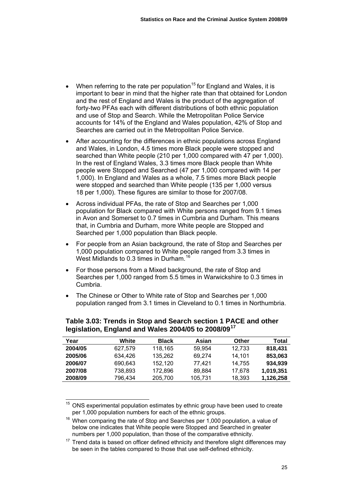- When referring to the rate per population<sup>[15](#page-26-0)</sup> for England and Wales, it is important to bear in mind that the higher rate than that obtained for London and the rest of England and Wales is the product of the aggregation of forty-two PFAs each with different distributions of both ethnic population and use of Stop and Search. While the Metropolitan Police Service accounts for 14% of the England and Wales population, 42% of Stop and Searches are carried out in the Metropolitan Police Service.
- After accounting for the differences in ethnic populations across England and Wales, in London, 4.5 times more Black people were stopped and searched than White people (210 per 1,000 compared with 47 per 1,000). In the rest of England Wales, 3.3 times more Black people than White people were Stopped and Searched (47 per 1,000 compared with 14 per 1,000). In England and Wales as a whole, 7.5 times more Black people were stopped and searched than White people (135 per 1,000 versus 18 per 1,000). These figures are similar to those for 2007/08.
- Across individual PFAs, the rate of Stop and Searches per 1,000 population for Black compared with White persons ranged from 9.1 times in Avon and Somerset to 0.7 times in Cumbria and Durham. This means that, in Cumbria and Durham, more White people are Stopped and Searched per 1,000 population than Black people.
- For people from an Asian background, the rate of Stop and Searches per 1,000 population compared to White people ranged from 3.3 times in West Midlands to 0.3 times in Durham.<sup>[16](#page-26-1)</sup>
- For those persons from a Mixed background, the rate of Stop and Searches per 1,000 ranged from 5.5 times in Warwickshire to 0.3 times in Cumbria.
- The Chinese or Other to White rate of Stop and Searches per 1,000 population ranged from 3.1 times in Cleveland to 0.1 times in Northumbria.

| Year    | White   | <b>Black</b> | Asian   | Other  | Total     |
|---------|---------|--------------|---------|--------|-----------|
| 2004/05 | 627.579 | 118.165      | 59.954  | 12.733 | 818,431   |
| 2005/06 | 634.426 | 135.262      | 69.274  | 14.101 | 853,063   |
| 2006/07 | 690.643 | 152.120      | 77.421  | 14.755 | 934.939   |
| 2007/08 | 738.893 | 172.896      | 89.884  | 17.678 | 1,019,351 |
| 2008/09 | 796.434 | 205,700      | 105.731 | 18.393 | 1,126,258 |

# **Table 3.03: Trends in Stop and Search section 1 PACE and other legislation, England and Wales 2004/05 to 2008/09[17](#page-26-2)**

<span id="page-26-0"></span> $\overline{\phantom{a}}$  $15$  ONS experimental population estimates by ethnic group have been used to create per 1,000 population numbers for each of the ethnic groups.

<span id="page-26-1"></span><sup>&</sup>lt;sup>16</sup> When comparing the rate of Stop and Searches per 1,000 population, a value of below one indicates that White people were Stopped and Searched in greater numbers per 1,000 population, than those of the comparative ethnicity.

<span id="page-26-2"></span> $17$  Trend data is based on officer defined ethnicity and therefore slight differences may be seen in the tables compared to those that use self-defined ethnicity.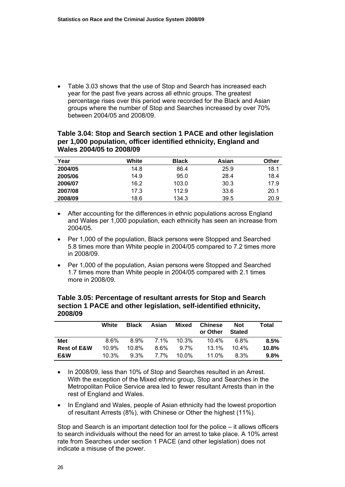• Table 3.03 shows that the use of Stop and Search has increased each year for the past five years across all ethnic groups. The greatest percentage rises over this period were recorded for the Black and Asian groups where the number of Stop and Searches increased by over 70% between 2004/05 and 2008/09.

### **Table 3.04: Stop and Search section 1 PACE and other legislation per 1,000 population, officer identified ethnicity, England and Wales 2004/05 to 2008/09**

| Year    | White | <b>Black</b> | Asian | Other |
|---------|-------|--------------|-------|-------|
| 2004/05 | 14.8  | 86.4         | 25.9  | 18.1  |
| 2005/06 | 14.9  | 95.0         | 28.4  | 18.4  |
| 2006/07 | 16.2  | 103.0        | 30.3  | 17.9  |
| 2007/08 | 17.3  | 112.9        | 33.6  | 20.1  |
| 2008/09 | 18.6  | 134.3        | 39.5  | 20.9  |

- After accounting for the differences in ethnic populations across England and Wales per 1,000 population, each ethnicity has seen an increase from 2004/05.
- Per 1,000 of the population, Black persons were Stopped and Searched 5.8 times more than White people in 2004/05 compared to 7.2 times more in 2008/09.
- Per 1,000 of the population, Asian persons were Stopped and Searched 1.7 times more than White people in 2004/05 compared with 2.1 times more in 2008/09.

|                        | White    | <b>Black</b> | Asian   | Mixed    | Chinese<br>or Other | <b>Not</b><br><b>Stated</b> | Total |
|------------------------|----------|--------------|---------|----------|---------------------|-----------------------------|-------|
| <b>Met</b>             | 8.6%     | 8.9%         | $7.1\%$ | 10.3%    | $10.4\%$            | 6.8%                        | 8.5%  |
| <b>Rest of E&amp;W</b> | $10.9\%$ | $10.8\%$     | 8.6%    | $97\%$   | $13.1\%$            | 10.4%                       | 10.8% |
| E&W                    | $10.3\%$ | $9.3\%$      | 7.7%    | $10.0\%$ | $11.0\%$            | 8.3%                        | 9.8%  |

# **Table 3.05: Percentage of resultant arrests for Stop and Search section 1 PACE and other legislation, self-identified ethnicity, 2008/09**

- In 2008/09, less than 10% of Stop and Searches resulted in an Arrest. With the exception of the Mixed ethnic group, Stop and Searches in the Metropolitan Police Service area led to fewer resultant Arrests than in the rest of England and Wales.
- In England and Wales, people of Asian ethnicity had the lowest proportion of resultant Arrests (8%), with Chinese or Other the highest (11%).

Stop and Search is an important detection tool for the police – it allows officers to search individuals without the need for an arrest to take place. A 10% arrest rate from Searches under section 1 PACE (and other legislation) does not indicate a misuse of the power.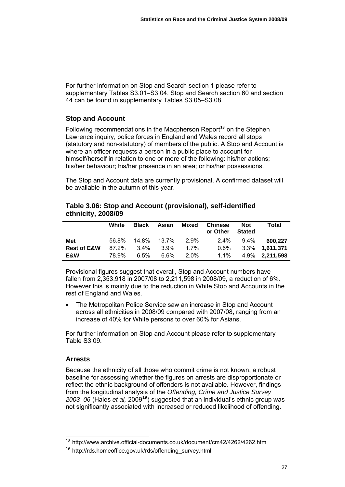For further information on Stop and Search section 1 please refer to supplementary Tables S3.01–S3.04. Stop and Search section 60 and section 44 can be found in supplementary Tables S3.05–S3.08.

# **Stop and Account**

Following recommendations in the Macpherson Report**[18](#page-28-0)** on the Stephen Lawrence inquiry, police forces in England and Wales record all stops (statutory and non-statutory) of members of the public. A Stop and Account is where an officer requests a person in a public place to account for himself/herself in relation to one or more of the following: his/her actions; his/her behaviour; his/her presence in an area; or his/her possessions.

The Stop and Account data are currently provisional. A confirmed dataset will be available in the autumn of this year.

|                        | White | Black   | Asian   | Mixed   | <b>Chinese</b><br>or Other | <b>Not</b><br><b>Stated</b> | Total          |
|------------------------|-------|---------|---------|---------|----------------------------|-----------------------------|----------------|
| Met                    | 56.8% | 14.8%   | 13.7%   | 2.9%    | $2.4\%$                    | $9.4\%$                     | 600.227        |
| <b>Rest of E&amp;W</b> | 87.2% | $3.4\%$ | $3.9\%$ | $1.7\%$ | $0.6\%$                    |                             | 3.3% 1,611,371 |
| E&W                    | 78.9% | 6.5%    | $6.6\%$ | $2.0\%$ | $1.1\%$                    |                             | 4.9% 2.211.598 |

### **Table 3.06: Stop and Account (provisional), self-identified ethnicity, 2008/09**

Provisional figures suggest that overall. Stop and Account numbers have fallen from 2,353,918 in 2007/08 to 2,211,598 in 2008/09, a reduction of 6%. However this is mainly due to the reduction in White Stop and Accounts in the rest of England and Wales.

 The Metropolitan Police Service saw an increase in Stop and Account across all ethnicities in 2008/09 compared with 2007/08, ranging from an increase of 40% for White persons to over 60% for Asians.

For further information on Stop and Account please refer to supplementary Table S3.09.

### **Arrests**

 $\overline{a}$ 

Because the ethnicity of all those who commit crime is not known, a robust baseline for assessing whether the figures on arrests are disproportionate or reflect the ethnic background of offenders is not available. However, findings from the longitudinal analysis of the *Offending, Crime and Justice Survey 2003–06* (Hales *et al,* 2009**[19](#page-28-1)**) suggested that an individual's ethnic group was not significantly associated with increased or reduced likelihood of offending.

<sup>18</sup> <http://www.archive.official-documents.co.uk/document/cm42/4262/4262.htm>

<span id="page-28-1"></span><span id="page-28-0"></span><sup>&</sup>lt;sup>19</sup> http://rds.homeoffice.gov.uk/rds/offending\_survey.html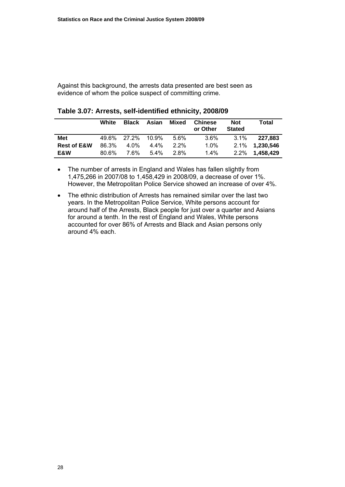Against this background, the arrests data presented are best seen as evidence of whom the police suspect of committing crime.

|                        | White | <b>Black</b> | Asian   | Mixed | <b>Chinese</b><br>or Other | <b>Not</b><br><b>Stated</b> | Total          |
|------------------------|-------|--------------|---------|-------|----------------------------|-----------------------------|----------------|
| <b>Met</b>             | 49.6% | 27.2%        | 10.9%   | 5.6%  | $3.6\%$                    | $3.1\%$                     | 227.883        |
| <b>Rest of E&amp;W</b> | 86.3% | $4.0\%$      | $4.4\%$ | 2.2%  | 1.0%                       |                             | 2.1% 1,230,546 |
| E&W                    | 80.6% | 7.6%         | $5.4\%$ | 2.8%  | $1.4\%$                    |                             | 2.2% 1,458,429 |

• The number of arrests in England and Wales has fallen slightly from 1,475,266 in 2007/08 to 1,458,429 in 2008/09, a decrease of over 1%. However, the Metropolitan Police Service showed an increase of over 4%.

 The ethnic distribution of Arrests has remained similar over the last two years. In the Metropolitan Police Service, White persons account for around half of the Arrests, Black people for just over a quarter and Asians for around a tenth. In the rest of England and Wales, White persons accounted for over 86% of Arrests and Black and Asian persons only around 4% each.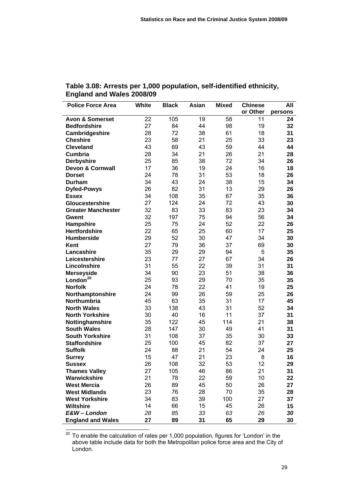| <b>Police Force Area</b>    | <b>White</b> | <b>Black</b> | Asian | <b>Mixed</b> | <b>Chinese</b> | All     |
|-----------------------------|--------------|--------------|-------|--------------|----------------|---------|
|                             |              |              |       |              | or Other       | persons |
| <b>Avon &amp; Somerset</b>  | 22           | 105          | 19    | 58           | 11             | 24      |
| <b>Bedfordshire</b>         | 27           | 84           | 44    | 98           | 19             | 32      |
| Cambridgeshire              | 28           | 72           | 38    | 61           | 18             | 31      |
| <b>Cheshire</b>             | 23           | 58           | 21    | 25           | 33             | 23      |
| <b>Cleveland</b>            | 43           | 69           | 43    | 59           | 44             | 44      |
| <b>Cumbria</b>              | 28           | 34           | 21    | 26           | 21             | 28      |
| <b>Derbyshire</b>           | 25           | 85           | 38    | 72           | 34             | 26      |
| <b>Devon &amp; Cornwall</b> | 17           | 36           | 19    | 24           | 16             | 18      |
| <b>Dorset</b>               | 24           | 78           | 31    | 53           | 18             | 26      |
| <b>Durham</b>               | 34           | 43           | 24    | 38           | 15             | 34      |
| <b>Dyfed-Powys</b>          | 26           | 82           | 31    | 13           | 29             | 26      |
| <b>Essex</b>                | 34           | 108          | 35    | 67           | 35             | 36      |
| Gloucestershire             | 27           | 124          | 24    | 72           | 43             | 30      |
| <b>Greater Manchester</b>   | 32           | 83           | 33    | 83           | 23             | 34      |
| <b>Gwent</b>                | 32           | 197          | 75    | 94           | 56             | 34      |
| Hampshire                   | 25           | 75           | 24    | 52           | 22             | 26      |
| <b>Hertfordshire</b>        | 22           | 65           | 25    | 60           | 17             | 25      |
| <b>Humberside</b>           | 29           | 52           | 30    | 47           | 34             | 30      |
| Kent                        | 27           | 79           | 36    | 37           | 69             | 30      |
| Lancashire                  | 35           | 29           | 29    | 94           | 5              | 35      |
| Leicestershire              | 23           | 77           | 27    | 67           | 34             | 26      |
| Lincolnshire                | 31           | 55           | 22    | 39           | 31             | 31      |
| <b>Merseyside</b>           | 34           | 90           | 23    | 51           | 38             | 36      |
| London <sup>20</sup>        | 25           | 93           | 29    | 70           | 35             | 35      |
| <b>Norfolk</b>              | 24           | 78           | 22    | 41           | 19             | 25      |
| Northamptonshire            | 24           | 99           | 26    | 59           | 25             | 26      |
| Northumbria                 | 45           | 63           | 35    | 31           | 17             | 45      |
| <b>North Wales</b>          | 33           | 138          | 43    | 31           | 52             | 34      |
| <b>North Yorkshire</b>      | 30           | 40           | 16    | 11           | 37             | 31      |
| Nottinghamshire             | 35           | 122          | 45    | 114          | 21             | 38      |
| <b>South Wales</b>          | 28           | 147          | 30    | 49           | 41             | 31      |
| <b>South Yorkshire</b>      | 31           | 108          | 37    | 35           | 30             | 33      |
| <b>Staffordshire</b>        | 25           | 100          | 45    | 82           | 37             | 27      |
| <b>Suffolk</b>              | 24           | 88           | 21    | 54           | 24             | 25      |
| <b>Surrey</b>               | 15           | 47           | 21    | 23           | 8              | 16      |
| <b>Sussex</b>               | 26           | 108          | 32    | 53           | 12             | 29      |
| <b>Thames Valley</b>        | 27           | 105          | 46    | 86           | 21             | 31      |
| Warwickshire                | 21           | 78           | 22    | 59           | 10             | 22      |
| <b>West Mercia</b>          | 26           | 89           | 45    | 50           | 26             | 27      |
| <b>West Midlands</b>        | 23           | 76           | 28    | 70           | 35             | 28      |
| <b>West Yorkshire</b>       | 34           | 83           | 39    | 100          | 27             | 37      |
| <b>Wiltshire</b>            | 14           | 66           | 15    | 45           | 26             | 15      |
| E&W-London                  | 28           | 85           | 33    | 63           | 26             | 30      |
| <b>England and Wales</b>    | 27           | 89           | 31    | 65           | 29             | 30      |

# **Table 3.08: Arrests per 1,000 population, self-identified ethnicity, England and Wales 2008/09**

<span id="page-30-0"></span> $\overline{a}$  $^{20}$  To enable the calculation of rates per 1,000 population, figures for 'London' in the above table include data for both the Metropolitan police force area and the City of London.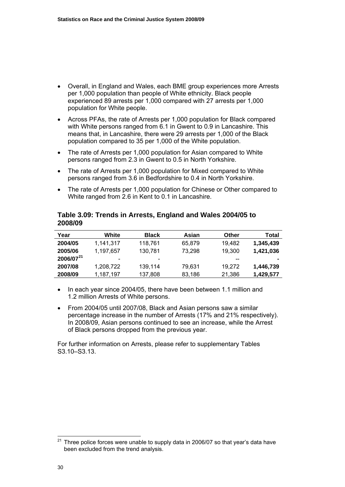- Overall, in England and Wales, each BME group experiences more Arrests per 1,000 population than people of White ethnicity. Black people experienced 89 arrests per 1,000 compared with 27 arrests per 1,000 population for White people.
- Across PFAs, the rate of Arrests per 1,000 population for Black compared with White persons ranged from 6.1 in Gwent to 0.9 in Lancashire. This means that, in Lancashire, there were 29 arrests per 1,000 of the Black population compared to 35 per 1,000 of the White population.
- The rate of Arrests per 1,000 population for Asian compared to White persons ranged from 2.3 in Gwent to 0.5 in North Yorkshire.
- The rate of Arrests per 1,000 population for Mixed compared to White persons ranged from 3.6 in Bedfordshire to 0.4 in North Yorkshire.
- The rate of Arrests per 1,000 population for Chinese or Other compared to White ranged from 2.6 in Kent to 0.1 in Lancashire.

| Year           | White     | <b>Black</b> | Asian  | Other  | Total     |
|----------------|-----------|--------------|--------|--------|-----------|
| 2004/05        | 1.141.317 | 118,761      | 65.879 | 19.482 | 1,345,439 |
| 2005/06        | 1,197,657 | 130.781      | 73.298 | 19.300 | 1,421,036 |
| $2006/07^{21}$ |           |              |        |        |           |
| 2007/08        | 1,208,722 | 139.114      | 79,631 | 19.272 | 1,446,739 |
| 2008/09        | 1,187,197 | 137,808      | 83,186 | 21,386 | 1,429,577 |

### **Table 3.09: Trends in Arrests, England and Wales 2004/05 to 2008/09**

- In each year since 2004/05, there have been between 1.1 million and 1.2 million Arrests of White persons.
- From 2004/05 until 2007/08, Black and Asian persons saw a similar percentage increase in the number of Arrests (17% and 21% respectively). In 2008/09, Asian persons continued to see an increase, while the Arrest of Black persons dropped from the previous year.

For further information on Arrests, please refer to supplementary Tables S3.10–S3.13.

<span id="page-31-0"></span> $21$ Three police forces were unable to supply data in 2006/07 so that year's data have been excluded from the trend analysis.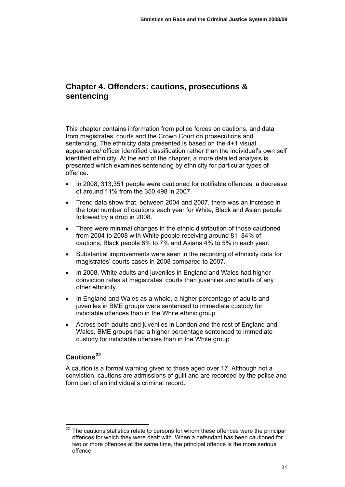# <span id="page-32-0"></span>**Chapter 4. Offenders: cautions, prosecutions & sentencing**

This chapter contains information from police forces on cautions, and data from magistrates' courts and the Crown Court on prosecutions and sentencing. The ethnicity data presented is based on the 4+1 visual appearance/ officer identified classification rather than the individual's own self identified ethnicity. At the end of the chapter, a more detailed analysis is presented which examines sentencing by ethnicity for particular types of offence.

- In 2008, 313,351 people were cautioned for notifiable offences, a decrease of around 11% from the 350,498 in 2007.
- Trend data show that, between 2004 and 2007, there was an increase in the total number of cautions each year for White, Black and Asian people followed by a drop in 2008.
- There were minimal changes in the ethnic distribution of those cautioned from 2004 to 2008 with White people receiving around 81–84% of cautions, Black people 6% to 7% and Asians 4% to 5% in each year.
- Substantial improvements were seen in the recording of ethnicity data for magistrates' courts cases in 2008 compared to 2007.
- In 2008, White adults and juveniles in England and Wales had higher conviction rates at magistrates' courts than juveniles and adults of any other ethnicity.
- In England and Wales as a whole, a higher percentage of adults and juveniles in BME groups were sentenced to immediate custody for indictable offences than in the White ethnic group.
- Across both adults and juveniles in London and the rest of England and Wales, BME groups had a higher percentage sentenced to immediate custody for indictable offences than in the White group.

# **Cautions[22](#page-32-1)**

A caution is a formal warning given to those aged over 17. Although not a conviction, cautions are admissions of guilt and are recorded by the police and form part of an individual's criminal record.

<span id="page-32-1"></span> $\overline{a}$  $22$  The cautions statistics relate to persons for whom these offences were the principal offences for which they were dealt with. When a defendant has been cautioned for two or more offences at the same time, the principal offence is the more serious offence.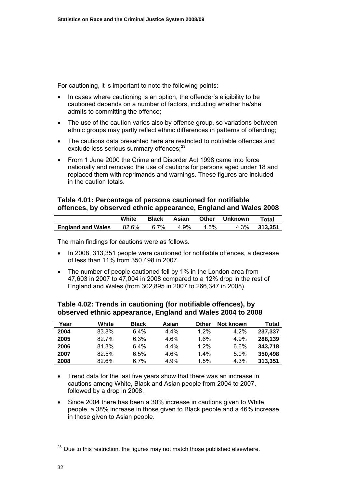For cautioning, it is important to note the following points:

- In cases where cautioning is an option, the offender's eligibility to be cautioned depends on a number of factors, including whether he/she admits to committing the offence;
- The use of the caution varies also by offence group, so variations between ethnic groups may partly reflect ethnic differences in patterns of offending;
- The cautions data presented here are restricted to notifiable offences and exclude less serious summary offences;**[23](#page-33-0)**
- From 1 June 2000 the Crime and Disorder Act 1998 came into force nationally and removed the use of cautions for persons aged under 18 and replaced them with reprimands and warnings. These figures are included in the caution totals.

# **Table 4.01: Percentage of persons cautioned for notifiable offences, by observed ethnic appearance, England and Wales 2008**

|                          | White | Black | Asian |      | Other Unknown | Total        |
|--------------------------|-------|-------|-------|------|---------------|--------------|
| <b>England and Wales</b> | 82.6% | 6.7%  | 4.9%  | 1.5% |               | 4.3% 313,351 |

The main findings for cautions were as follows.

- In 2008, 313,351 people were cautioned for notifiable offences, a decrease of less than 11% from 350,498 in 2007.
- The number of people cautioned fell by 1% in the London area from 47,603 in 2007 to 47,004 in 2008 compared to a 12% drop in the rest of England and Wales (from 302,895 in 2007 to 266,347 in 2008).

# **Table 4.02: Trends in cautioning (for notifiable offences), by observed ethnic appearance, England and Wales 2004 to 2008**

| Year | White | <b>Black</b> | Asian   | Other   | Not known | Total   |
|------|-------|--------------|---------|---------|-----------|---------|
| 2004 | 83.8% | 6.4%         | 4.4%    | 1.2%    | 4.2%      | 237.337 |
| 2005 | 82.7% | 6.3%         | 4.6%    | 1.6%    | 4.9%      | 288,139 |
| 2006 | 81.3% | 6.4%         | $4.4\%$ | 1.2%    | 6.6%      | 343,718 |
| 2007 | 82.5% | 6.5%         | 4.6%    | 1.4%    | 5.0%      | 350,498 |
| 2008 | 82.6% | 6.7%         | 4.9%    | $1.5\%$ | 4.3%      | 313.351 |

- Trend data for the last five years show that there was an increase in cautions among White, Black and Asian people from 2004 to 2007, followed by a drop in 2008.
- Since 2004 there has been a 30% increase in cautions given to White people, a 38% increase in those given to Black people and a 46% increase in those given to Asian people.

<span id="page-33-0"></span> $\overline{a}$  $23$  Due to this restriction, the figures may not match those published elsewhere.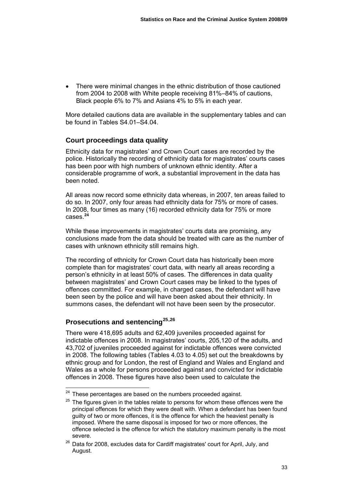There were minimal changes in the ethnic distribution of those cautioned from 2004 to 2008 with White people receiving 81%–84% of cautions, Black people 6% to 7% and Asians 4% to 5% in each year.

More detailed cautions data are available in the supplementary tables and can be found in Tables S4.01–S4.04.

# **Court proceedings data quality**

Ethnicity data for magistrates' and Crown Court cases are recorded by the police. Historically the recording of ethnicity data for magistrates' courts cases has been poor with high numbers of unknown ethnic identity. After a considerable programme of work, a substantial improvement in the data has been noted.

All areas now record some ethnicity data whereas, in 2007, ten areas failed to do so. In 2007, only four areas had ethnicity data for 75% or more of cases. In 2008, four times as many (16) recorded ethnicity data for 75% or more cases.**[24](#page-34-0)**

While these improvements in magistrates' courts data are promising, any conclusions made from the data should be treated with care as the number of cases with unknown ethnicity still remains high.

The recording of ethnicity for Crown Court data has historically been more complete than for magistrates' court data, with nearly all areas recording a person's ethnicity in at least 50% of cases. The differences in data quality between magistrates' and Crown Court cases may be linked to the types of offences committed. For example, in charged cases, the defendant will have been seen by the police and will have been asked about their ethnicity. In summons cases, the defendant will not have been seen by the prosecutor.

# **Prosecutions and sentencing[25](#page-34-1),[26](#page-34-2)**

There were 418,695 adults and 62,409 juveniles proceeded against for indictable offences in 2008. In magistrates' courts, 205,120 of the adults, and 43,702 of juveniles proceeded against for indictable offences were convicted in 2008. The following tables (Tables 4.03 to 4.05) set out the breakdowns by ethnic group and for London, the rest of England and Wales and England and Wales as a whole for persons proceeded against and convicted for indictable offences in 2008. These figures have also been used to calculate the

<span id="page-34-0"></span> $\overline{a}$  $24$  These percentages are based on the numbers proceeded against.

<span id="page-34-1"></span> $25$  The figures given in the tables relate to persons for whom these offences were the principal offences for which they were dealt with. When a defendant has been found guilty of two or more offences, it is the offence for which the heaviest penalty is imposed. Where the same disposal is imposed for two or more offences, the offence selected is the offence for which the statutory maximum penalty is the most severe.

<span id="page-34-2"></span><sup>&</sup>lt;sup>26</sup> Data for 2008, excludes data for Cardiff magistrates' court for April, July, and August.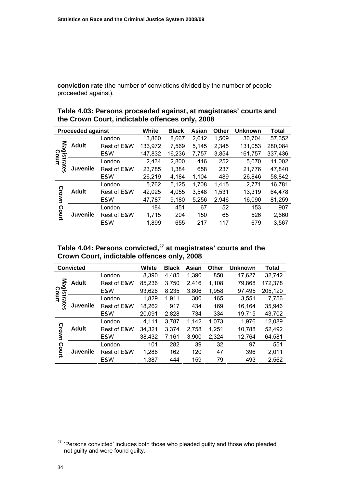**conviction rate** (the number of convictions divided by the number of people proceeded against).

| Table 4.03: Persons proceeded against, at magistrates' courts and |  |
|-------------------------------------------------------------------|--|
| the Crown Court, indictable offences only, 2008                   |  |

|                              |             | <b>White</b>             | <b>Black</b> | Asian | <b>Other</b> | <b>Unknown</b> | Total   |
|------------------------------|-------------|--------------------------|--------------|-------|--------------|----------------|---------|
|                              | London      | 13,860                   | 8,667        | 2,612 | 1,509        | 30,704         | 57,352  |
| <b>Adult</b>                 | Rest of E&W | 133,972                  | 7,569        | 5,145 | 2,345        | 131,053        | 280,084 |
|                              | E&W         | 147,832                  | 16,236       | 7,757 | 3,854        | 161,757        | 337,436 |
|                              | London      | 2,434                    | 2,800        | 446   | 252          | 5,070          | 11,002  |
| gistrates<br><b>Juvenile</b> | Rest of E&W | 23,785                   | 1,384        | 658   | 237          | 21,776         | 47,840  |
|                              | E&W         | 26,219                   | 4,184        | 1.104 | 489          | 26,846         | 58,842  |
|                              | London      | 5,762                    | 5,125        | 1,708 | 1,415        | 2,771          | 16,781  |
| <b>Adult</b>                 | Rest of E&W | 42,025                   | 4,055        | 3,548 | 1,531        | 13,319         | 64,478  |
|                              | E&W         | 47,787                   | 9,180        | 5,256 | 2,946        | 16,090         | 81,259  |
|                              | London      | 184                      | 451          | 67    | 52           | 153            | 907     |
| <b>Juvenile</b>              | Rest of E&W | 1,715                    | 204          | 150   | 65           | 526            | 2,660   |
|                              | E&W         | 1,899                    | 655          | 217   | 117          | 679            | 3,567   |
|                              |             | <b>Proceeded against</b> |              |       |              |                |         |

# **Table 4.04: Persons convicted,[27](#page-35-0) at magistrates' courts and the Crown Court, indictable offences only, 2008**

|                    | <b>Convicted</b> |             | White  | <b>Black</b> | Asian | Other | <b>Unknown</b> | <b>Total</b> |
|--------------------|------------------|-------------|--------|--------------|-------|-------|----------------|--------------|
| Ma                 |                  | London      | 8,390  | 4.485        | 1,390 | 850   | 17,627         | 32,742       |
|                    | <b>Adult</b>     | Rest of E&W | 85,236 | 3,750        | 2,416 | 1,108 | 79,868         | 172,378      |
|                    |                  | E&W         | 93,626 | 8,235        | 3,806 | 1,958 | 97,495         | 205,120      |
| gistrates<br>Court |                  | London      | 1,829  | 1,911        | 300   | 165   | 3,551          | 7,756        |
|                    | <b>Juvenile</b>  | Rest of E&W | 18,262 | 917          | 434   | 169   | 16,164         | 35,946       |
|                    |                  | E&W         | 20,091 | 2,828        | 734   | 334   | 19,715         | 43,702       |
|                    | <b>Adult</b>     | London      | 4,111  | 3,787        | 1,142 | 1,073 | 1,976          | 12,089       |
| Crown              |                  | Rest of E&W | 34,321 | 3,374        | 2,758 | 1,251 | 10,788         | 52,492       |
| Court              |                  | E&W         | 38,432 | 7,161        | 3,900 | 2,324 | 12,764         | 64,581       |
|                    |                  | London      | 101    | 282          | 39    | 32    | 97             | 551          |
|                    | <b>Juvenile</b>  | Rest of E&W | 1,286  | 162          | 120   | 47    | 396            | 2,011        |
|                    |                  | E&W         | 1,387  | 444          | 159   | 79    | 493            | 2,562        |

<span id="page-35-0"></span> $\overline{a}$ <sup>27</sup> 'Persons convicted' includes both those who pleaded guilty and those who pleaded not guilty and were found guilty.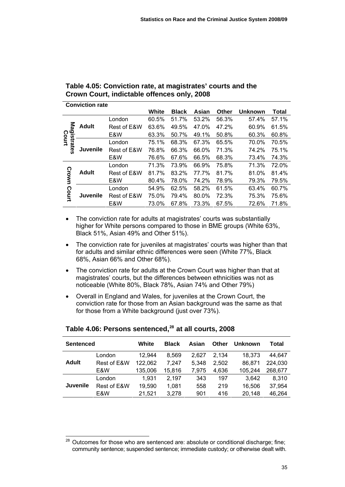|                             | <b>Conviction rate</b> |             |       |              |       |       |                |              |
|-----------------------------|------------------------|-------------|-------|--------------|-------|-------|----------------|--------------|
|                             |                        |             | White | <b>Black</b> | Asian | Other | <b>Unknown</b> | <b>Total</b> |
| Μa                          |                        | London      | 60.5% | 51.7%        | 53.2% | 56.3% | 57.4%          | 57.1%        |
|                             | <b>Adult</b>           | Rest of E&W | 63.6% | 49.5%        | 47.0% | 47.2% | 60.9%          | 61.5%        |
|                             |                        | E&W         | 63.3% | 50.7%        | 49.1% | 50.8% | 60.3%          | 60.8%        |
| igistra<br>Court<br>strates |                        | London      | 75.1% | 68.3%        | 67.3% | 65.5% | 70.0%          | 70.5%        |
|                             | <b>Juvenile</b>        | Rest of E&W | 76.8% | 66.3%        | 66.0% | 71.3% | 74.2%          | 75.1%        |
|                             |                        | E&W         | 76.6% | 67.6%        | 66.5% | 68.3% | 73.4%          | 74.3%        |
|                             |                        | London      | 71.3% | 73.9%        | 66.9% | 75.8% | 71.3%          | 72.0%        |
|                             | <b>Adult</b>           | Rest of E&W | 81.7% | 83.2%        | 77.7% | 81.7% | 81.0%          | 81.4%        |
| Crown<br>Court              |                        | E&W         | 80.4% | 78.0%        | 74.2% | 78.9% | 79.3%          | 79.5%        |
|                             |                        | London      | 54.9% | 62.5%        | 58.2% | 61.5% | 63.4%          | 60.7%        |
|                             | <b>Juvenile</b>        | Rest of E&W | 75.0% | 79.4%        | 80.0% | 72.3% | 75.3%          | 75.6%        |
|                             |                        | E&W         | 73.0% | 67.8%        | 73.3% | 67.5% | 72.6%          | 71.8%        |

# **Table 4.05: Conviction rate, at magistrates' courts and the Crown Court, indictable offences only, 2008**

- The conviction rate for adults at magistrates' courts was substantially higher for White persons compared to those in BME groups (White 63%, Black 51%, Asian 49% and Other 51%).
- The conviction rate for juveniles at magistrates' courts was higher than that for adults and similar ethnic differences were seen (White 77%, Black 68%, Asian 66% and Other 68%).
- The conviction rate for adults at the Crown Court was higher than that at magistrates' courts, but the differences between ethnicities was not as noticeable (White 80%, Black 78%, Asian 74% and Other 79%)
- Overall in England and Wales, for juveniles at the Crown Court, the conviction rate for those from an Asian background was the same as that for those from a White background (just over 73%).

| <b>Sentenced</b> |             | White   | <b>Black</b> | Asian | Other | Unknown | Total   |
|------------------|-------------|---------|--------------|-------|-------|---------|---------|
|                  | London      | 12.944  | 8,569        | 2.627 | 2.134 | 18,373  | 44.647  |
| Adult            | Rest of E&W | 122,062 | 7,247        | 5,348 | 2.502 | 86,871  | 224,030 |
|                  | E&W         | 135,006 | 15,816       | 7,975 | 4,636 | 105,244 | 268,677 |
|                  | London      | 1.931   | 2,197        | 343   | 197   | 3.642   | 8.310   |
| Juvenile         | Rest of E&W | 19,590  | 1,081        | 558   | 219   | 16,506  | 37,954  |
|                  | E&W         | 21,521  | 3,278        | 901   | 416   | 20,148  | 46,264  |

### **Table 4.06: Persons sentenced,[28](#page-36-0) at all courts, 2008**

<span id="page-36-0"></span><sup>28</sup> Outcomes for those who are sentenced are: absolute or conditional discharge; fine; community sentence; suspended sentence; immediate custody; or otherwise dealt with.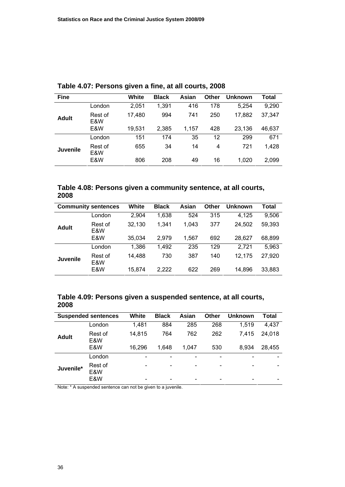| <b>Fine</b>     |                | White  | <b>Black</b> | Asian | Other | <b>Unknown</b> | Total  |
|-----------------|----------------|--------|--------------|-------|-------|----------------|--------|
|                 | London         | 2.051  | 1,391        | 416   | 178   | 5.254          | 9,290  |
| <b>Adult</b>    | Rest of<br>E&W | 17,480 | 994          | 741   | 250   | 17,882         | 37,347 |
|                 | E&W            | 19,531 | 2,385        | 1,157 | 428   | 23,136         | 46,637 |
| <b>Juvenile</b> | London         | 151    | 174          | 35    | 12    | 299            | 671    |
|                 | Rest of<br>E&W | 655    | 34           | 14    | 4     | 721            | 1.428  |
|                 | E&W            | 806    | 208          | 49    | 16    | 1.020          | 2,099  |

**Table 4.07: Persons given a fine, at all courts, 2008** 

# **Table 4.08: Persons given a community sentence, at all courts, 2008**

| <b>Community sentences</b> |                | White  | <b>Black</b> | Asian | Other | <b>Unknown</b> | Total  |
|----------------------------|----------------|--------|--------------|-------|-------|----------------|--------|
|                            | London         | 2,904  | 1,638        | 524   | 315   | 4,125          | 9,506  |
| <b>Adult</b>               | Rest of<br>E&W | 32,130 | 1,341        | 1.043 | 377   | 24,502         | 59,393 |
|                            | E&W            | 35,034 | 2.979        | 1.567 | 692   | 28,627         | 68,899 |
|                            | London         | 1.386  | 1,492        | 235   | 129   | 2,721          | 5,963  |
| <b>Juvenile</b>            | Rest of<br>E&W | 14.488 | 730          | 387   | 140   | 12,175         | 27,920 |
|                            | E&W            | 15,874 | 2,222        | 622   | 269   | 14,896         | 33,883 |

# **Table 4.09: Persons given a suspended sentence, at all courts, 2008**

| <b>Suspended sentences</b> |                       | White  | <b>Black</b>             | Asian                    | Other           | <b>Unknown</b> | Total  |
|----------------------------|-----------------------|--------|--------------------------|--------------------------|-----------------|----------------|--------|
| <b>Adult</b>               | London                | 1,481  | 884                      | 285                      | 268             | 1,519          | 4,437  |
|                            | Rest of<br>E&W        | 14,815 | 764                      | 762                      | 262             | 7.415          | 24,018 |
|                            | E&W                   | 16,296 | 1.648                    | 1.047                    | 530             | 8,934          | 28,455 |
|                            | London                | -      |                          | $\overline{\phantom{0}}$ | $\qquad \qquad$ |                |        |
| Juvenile*                  | Rest of<br>E&W<br>E&W |        |                          |                          | $\qquad \qquad$ |                |        |
|                            |                       | -      | $\overline{\phantom{0}}$ | $\overline{\phantom{0}}$ | $\qquad \qquad$ |                |        |

Note: \* A suspended sentence can not be given to a juvenile.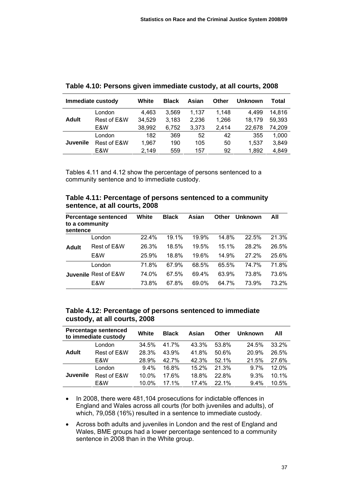|              | Immediate custody | White  | <b>Black</b> | Asian | Other | <b>Unknown</b> | Total  |
|--------------|-------------------|--------|--------------|-------|-------|----------------|--------|
|              | London            | 4,463  | 3,569        | 1,137 | 1,148 | 4,499          | 14,816 |
| <b>Adult</b> | Rest of E&W       | 34,529 | 3,183        | 2,236 | 1,266 | 18,179         | 59,393 |
|              | E&W               | 38,992 | 6,752        | 3,373 | 2,414 | 22,678         | 74,209 |
|              | London            | 182    | 369          | 52    | 42    | 355            | 1,000  |
| Juvenile     | Rest of E&W       | 1,967  | 190          | 105   | 50    | 1.537          | 3,849  |
|              | E&W               | 2,149  | 559          | 157   | 92    | 1,892          | 4,849  |

|  |  | Table 4.10: Persons given immediate custody, at all courts, 2008 |  |  |
|--|--|------------------------------------------------------------------|--|--|
|--|--|------------------------------------------------------------------|--|--|

Tables 4.11 and 4.12 show the percentage of persons sentenced to a community sentence and to immediate custody.

# **Table 4.11: Percentage of persons sentenced to a community sentence, at all courts, 2008**

| <b>Percentage sentenced</b><br>to a community<br>sentence |                      | White | <b>Black</b> | Asian | <b>Other</b> | <b>Unknown</b> | All   |
|-----------------------------------------------------------|----------------------|-------|--------------|-------|--------------|----------------|-------|
|                                                           | London               | 22.4% | 19.1%        | 19.9% | 14.8%        | 22.5%          | 21.3% |
| Adult                                                     | Rest of E&W          | 26.3% | 18.5%        | 19.5% | 15.1%        | 28.2%          | 26.5% |
|                                                           | E&W                  | 25.9% | 18.8%        | 19.6% | 14.9%        | 27.2%          | 25.6% |
|                                                           | London               | 71.8% | 67.9%        | 68.5% | 65.5%        | 74.7%          | 71.8% |
|                                                           | Juvenile Rest of E&W | 74.0% | 67.5%        | 69.4% | 63.9%        | 73.8%          | 73.6% |
|                                                           | E&W                  | 73.8% | 67.8%        | 69.0% | 64.7%        | 73.9%          | 73.2% |

# **Table 4.12: Percentage of persons sentenced to immediate custody, at all courts, 2008**

| <b>Percentage sentenced</b><br>to immediate custody |             | White   | <b>Black</b> | Asian | Other   | <b>Unknown</b> | All   |
|-----------------------------------------------------|-------------|---------|--------------|-------|---------|----------------|-------|
|                                                     | London      | 34.5%   | 41.7%        | 43.3% | 53.8%   | 24.5%          | 33.2% |
| Adult                                               | Rest of E&W | 28.3%   | 43.9%        | 41.8% | 50.6%   | 20.9%          | 26.5% |
|                                                     | E&W         | 28.9%   | 42.7%        | 42.3% | 52.1%   | 21.5%          | 27.6% |
|                                                     | London      | $9.4\%$ | 16.8%        | 15.2% | 21.3%   | $9.7\%$        | 12.0% |
| <b>Juvenile</b>                                     | Rest of E&W | 10.0%   | 17.6%        | 18.8% | 22.8%   | 9.3%           | 10.1% |
|                                                     | E&W         | 10.0%   | 17.1%        | 17.4% | $221\%$ | 9.4%           | 10.5% |

• In 2008, there were 481,104 prosecutions for indictable offences in England and Wales across all courts (for both juveniles and adults), of which, 79,058 (16%) resulted in a sentence to immediate custody.

 Across both adults and juveniles in London and the rest of England and Wales, BME groups had a lower percentage sentenced to a community sentence in 2008 than in the White group.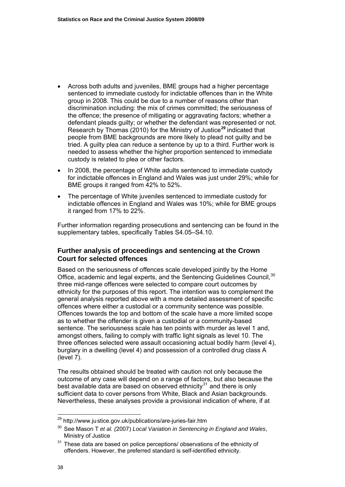- Across both adults and juveniles, BME groups had a higher percentage sentenced to immediate custody for indictable offences than in the White group in 2008. This could be due to a number of reasons other than discrimination including: the mix of crimes committed; the seriousness of the offence; the presence of mitigating or aggravating factors; whether a defendant pleads guilty; or whether the defendant was represented or not. Research by Thomas (2010) for the Ministry of Justice**[29](#page-39-0)** indicated that people from BME backgrounds are more likely to plead not guilty and be tried. A guilty plea can reduce a sentence by up to a third. Further work is needed to assess whether the higher proportion sentenced to immediate custody is related to plea or other factors.
- In 2008, the percentage of White adults sentenced to immediate custody for indictable offences in England and Wales was just under 29%; while for BME groups it ranged from 42% to 52%.
- The percentage of White juveniles sentenced to immediate custody for indictable offences in England and Wales was 10%; while for BME groups it ranged from 17% to 22%.

Further information regarding prosecutions and sentencing can be found in the supplementary tables, specifically Tables S4.05–S4.10.

# **Further analysis of proceedings and sentencing at the Crown Court for selected offences**

Based on the seriousness of offences scale developed jointly by the Home Office, academic and legal experts, and the Sentencing Guidelines Council, <sup>[30](#page-39-1)</sup> three mid-range offences were selected to compare court outcomes by ethnicity for the purposes of this report. The intention was to complement the general analysis reported above with a more detailed assessment of specific offences where either a custodial or a community sentence was possible. Offences towards the top and bottom of the scale have a more limited scope as to whether the offender is given a custodial or a community-based sentence. The seriousness scale has ten points with murder as level 1 and, amongst others, failing to comply with traffic light signals as level 10. The three offences selected were assault occasioning actual bodily harm (level 4), burglary in a dwelling (level 4) and possession of a controlled drug class A (level 7).

The results obtained should be treated with caution not only because the outcome of any case will depend on a range of factors, but also because the best available data are based on observed ethnicity<sup>[31](#page-39-2)</sup> and there is only sufficient data to cover persons from White, Black and Asian backgrounds. Nevertheless, these analyses provide a provisional indication of where, if at

 $\overline{a}$ 

<span id="page-39-0"></span><sup>&</sup>lt;sup>29</sup> http://www.justice.gov.uk/publications/are-juries-fair.htm

<span id="page-39-1"></span><sup>30</sup> See Mason T *et al. (*2007) *Local Variation in Sentencing in England and Wales*, Ministry of Justice

<span id="page-39-2"></span> $31$  These data are based on police perceptions/ observations of the ethnicity of offenders. However, the preferred standard is self-identified ethnicity.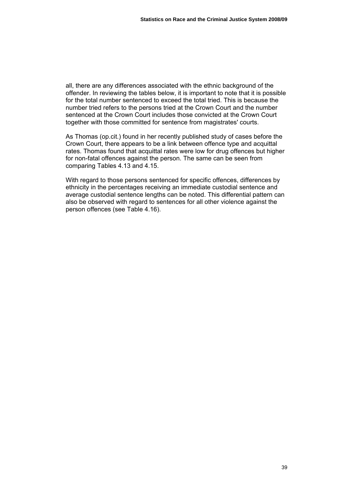all, there are any differences associated with the ethnic background of the offender. In reviewing the tables below, it is important to note that it is possible for the total number sentenced to exceed the total tried. This is because the number tried refers to the persons tried at the Crown Court and the number sentenced at the Crown Court includes those convicted at the Crown Court together with those committed for sentence from magistrates' courts.

As Thomas (op.cit.) found in her recently published study of cases before the Crown Court, there appears to be a link between offence type and acquittal rates. Thomas found that acquittal rates were low for drug offences but higher for non-fatal offences against the person. The same can be seen from comparing Tables 4.13 and 4.15.

With regard to those persons sentenced for specific offences, differences by ethnicity in the percentages receiving an immediate custodial sentence and average custodial sentence lengths can be noted. This differential pattern can also be observed with regard to sentences for all other violence against the person offences (see Table 4.16).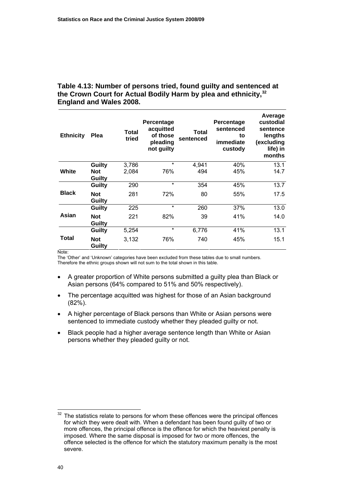# **Table 4.13: Number of persons tried, found guilty and sentenced at the Crown Court for Actual Bodily Harm by plea and ethnicity[,32](#page-41-0) England and Wales 2008.**

| <b>Ethnicity</b> | Plea                 | <b>Total</b><br>tried | Percentage<br>acquitted<br>of those<br>pleading<br>not guilty | Total<br>sentenced | Percentage<br>sentenced<br>to<br>immediate<br>custody | Average<br>custodial<br>sentence<br>lengths<br>(excluding<br>life) in<br>months |
|------------------|----------------------|-----------------------|---------------------------------------------------------------|--------------------|-------------------------------------------------------|---------------------------------------------------------------------------------|
|                  | Guilty               | 3,786                 | $\star$                                                       | 4,941              | 40%                                                   | 13.1                                                                            |
| White            | <b>Not</b>           | 2.084                 | 76%                                                           | 494                | 45%                                                   | 14.7                                                                            |
|                  | Guilty               |                       |                                                               |                    |                                                       |                                                                                 |
|                  | Guilty               | 290                   | $\star$                                                       | 354                | 45%                                                   | 13.7                                                                            |
| <b>Black</b>     | <b>Not</b>           | 281                   | 72%                                                           | 80                 | 55%                                                   | 17.5                                                                            |
|                  | Guilty               |                       |                                                               |                    |                                                       |                                                                                 |
|                  | Guilty               | 225                   | $\star$                                                       | 260                | 37%                                                   | 13.0                                                                            |
| Asian            | <b>Not</b>           | 221                   | 82%                                                           | 39                 | 41%                                                   | 14.0                                                                            |
|                  | <b>Guilty</b>        |                       |                                                               |                    |                                                       |                                                                                 |
|                  | Guilty               | 5,254                 | $\star$                                                       | 6,776              | 41%                                                   | 13.1                                                                            |
| <b>Total</b>     | <b>Not</b><br>Guilty | 3,132                 | 76%                                                           | 740                | 45%                                                   | 15.1                                                                            |

Note:

The 'Other' and 'Unknown' categories have been excluded from these tables due to small numbers. Therefore the ethnic groups shown will not sum to the total shown in this table.

- A greater proportion of White persons submitted a guilty plea than Black or Asian persons (64% compared to 51% and 50% respectively).
- The percentage acquitted was highest for those of an Asian background  $(82\%)$ .
- A higher percentage of Black persons than White or Asian persons were sentenced to immediate custody whether they pleaded guilty or not.
- Black people had a higher average sentence length than White or Asian persons whether they pleaded guilty or not.

<span id="page-41-0"></span><sup>32</sup> The statistics relate to persons for whom these offences were the principal offences for which they were dealt with. When a defendant has been found guilty of two or more offences, the principal offence is the offence for which the heaviest penalty is imposed. Where the same disposal is imposed for two or more offences, the offence selected is the offence for which the statutory maximum penalty is the most severe.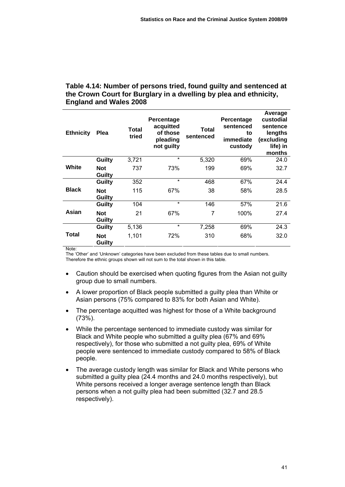# **Table 4.14: Number of persons tried, found guilty and sentenced at the Crown Court for Burglary in a dwelling by plea and ethnicity, England and Wales 2008**

| <b>Ethnicity</b> | <b>Plea</b>          | <b>Total</b><br>tried | Percentage<br>acquitted<br>of those<br>pleading<br>not guilty | <b>Total</b><br>sentenced | Percentage<br>sentenced<br>to<br>immediate<br>custody | Average<br>custodial<br>sentence<br>lengths<br>(excluding<br>life) in<br>months |
|------------------|----------------------|-----------------------|---------------------------------------------------------------|---------------------------|-------------------------------------------------------|---------------------------------------------------------------------------------|
|                  | <b>Guilty</b>        | 3,721                 | *                                                             | 5,320                     | 69%                                                   | 24.0                                                                            |
| White            | <b>Not</b><br>Guilty | 737                   | 73%                                                           | 199                       | 69%                                                   | 32.7                                                                            |
|                  | Guilty               | 352                   | $\star$                                                       | 468                       | 67%                                                   | 24.4                                                                            |
| <b>Black</b>     | <b>Not</b><br>Guilty | 115                   | 67%                                                           | 38                        | 58%                                                   | 28.5                                                                            |
|                  | <b>Guilty</b>        | 104                   | *                                                             | 146                       | 57%                                                   | 21.6                                                                            |
| Asian            | <b>Not</b><br>Guilty | 21                    | 67%                                                           | 7                         | 100%                                                  | 27.4                                                                            |
|                  | Guilty               | 5,136                 | $\star$                                                       | 7,258                     | 69%                                                   | 24.3                                                                            |
| Total            | <b>Not</b><br>Guilty | 1,101                 | 72%                                                           | 310                       | 68%                                                   | 32.0                                                                            |

Note:

The 'Other' and 'Unknown' categories have been excluded from these tables due to small numbers. Therefore the ethnic groups shown will not sum to the total shown in this table.

- Caution should be exercised when quoting figures from the Asian not guilty group due to small numbers.
- A lower proportion of Black people submitted a guilty plea than White or Asian persons (75% compared to 83% for both Asian and White).
- The percentage acquitted was highest for those of a White background (73%).
- While the percentage sentenced to immediate custody was similar for Black and White people who submitted a guilty plea (67% and 69% respectively), for those who submitted a not guilty plea, 69% of White people were sentenced to immediate custody compared to 58% of Black people.
- The average custody length was similar for Black and White persons who submitted a guilty plea (24.4 months and 24.0 months respectively), but White persons received a longer average sentence length than Black persons when a not guilty plea had been submitted (32.7 and 28.5 respectively).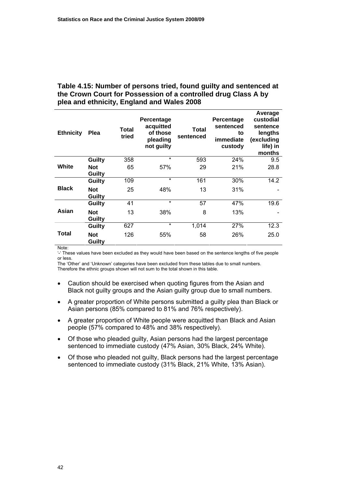# **Table 4.15: Number of persons tried, found guilty and sentenced at the Crown Court for Possession of a controlled drug Class A by plea and ethnicity, England and Wales 2008**

| <b>Ethnicity</b> | <b>Plea</b>                 | Total<br>tried | Percentage<br>acquitted<br>of those<br>pleading<br>not guilty | Total<br>sentenced | Percentage<br>sentenced<br>to<br>immediate<br>custody | Average<br>custodial<br>sentence<br>lengths<br>(excluding<br>life) in<br>months |  |
|------------------|-----------------------------|----------------|---------------------------------------------------------------|--------------------|-------------------------------------------------------|---------------------------------------------------------------------------------|--|
|                  | Guilty                      | 358            | $\ast$                                                        | 593                | 24%                                                   | 9.5                                                                             |  |
| White            | <b>Not</b>                  | 65             | 57%                                                           | 29                 | 21%                                                   | 28.8                                                                            |  |
|                  | Guilty                      |                |                                                               |                    |                                                       |                                                                                 |  |
|                  | <b>Guilty</b>               | 109            | $\star$                                                       | 161                | 30%                                                   | 14.2                                                                            |  |
| <b>Black</b>     | <b>Not</b><br><b>Guilty</b> | 25             | 48%                                                           | 13                 | 31%                                                   |                                                                                 |  |
|                  | Guilty                      | 41             | $\star$                                                       | 57                 | 47%                                                   | 19.6                                                                            |  |
| Asian            | <b>Not</b><br>Guilty        | 13             | 38%                                                           | 8                  | 13%                                                   |                                                                                 |  |
|                  | Guilty                      | 627            | $\star$                                                       | 1.014              | 27%                                                   | 12.3                                                                            |  |
| Total            | <b>Not</b><br>Guilty        | 126            | 55%                                                           | 58                 | 26%                                                   | 25.0                                                                            |  |

Note:

'-' These values have been excluded as they would have been based on the sentence lengths of five people or less.

The 'Other' and 'Unknown' categories have been excluded from these tables due to small numbers. Therefore the ethnic groups shown will not sum to the total shown in this table.

- Caution should be exercised when quoting figures from the Asian and Black not guilty groups and the Asian guilty group due to small numbers.
- A greater proportion of White persons submitted a guilty plea than Black or Asian persons (85% compared to 81% and 76% respectively).
- A greater proportion of White people were acquitted than Black and Asian people (57% compared to 48% and 38% respectively).
- Of those who pleaded guilty, Asian persons had the largest percentage sentenced to immediate custody (47% Asian, 30% Black, 24% White).
- Of those who pleaded not guilty, Black persons had the largest percentage sentenced to immediate custody (31% Black, 21% White, 13% Asian).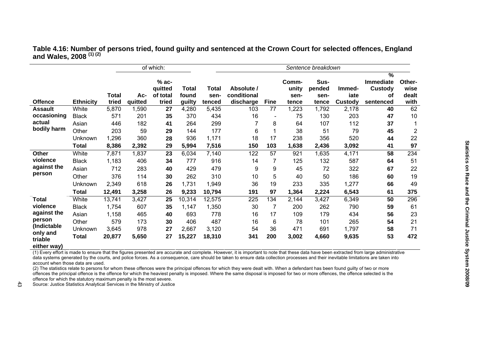#### **Table 4.16: Number of persons tried, found guilty and sentenced at the Crown Court for selected offences, England and Wales, 2008 (1) (2)**

|                                          |                  |                       |                | of which:                               |                                 |                         |                                        |             |                                 | Sentence breakdown              |                           |                                                                 |                                 |
|------------------------------------------|------------------|-----------------------|----------------|-----------------------------------------|---------------------------------|-------------------------|----------------------------------------|-------------|---------------------------------|---------------------------------|---------------------------|-----------------------------------------------------------------|---------------------------------|
| <b>Offence</b>                           | <b>Ethnicity</b> | <b>Total</b><br>tried | Ac-<br>quitted | $%$ ac-<br>quitted<br>of total<br>tried | <b>Total</b><br>found<br>guilty | Total<br>sen-<br>tenced | Absolute /<br>conditional<br>discharge | <b>Fine</b> | Comm-<br>unity<br>sen-<br>tence | Sus-<br>pended<br>sen-<br>tence | Immed-<br>iate<br>Custody | $\frac{0}{0}$<br><b>Immediate</b><br>Custody<br>οf<br>sentenced | Other-<br>wise<br>dealt<br>with |
| <b>Assault</b>                           | White            | 5,870                 | 1,590          | 27                                      | 4,280                           | 5,435                   | 103                                    | 77          | 1,223                           | 1,792                           | 2,178                     | 40                                                              | 62                              |
| occasioning                              | <b>Black</b>     | 571                   | 201            | 35                                      | 370                             | 434                     | 16                                     |             | 75                              | 130                             | 203                       | 47                                                              | 10                              |
| actual                                   | Asian            | 446                   | 182            | 41                                      | 264                             | 299                     |                                        | 8           | 64                              | 107                             | 112                       | 37                                                              |                                 |
| bodily harm                              | Other            | 203                   | 59             | 29                                      | 144                             | 177                     | 6                                      |             | 38                              | 51                              | 79                        | 45                                                              | $\overline{2}$                  |
|                                          | Unknown          | 1,296                 | 360            | 28                                      | 936                             | 1,171                   | 18                                     | 17          | 238                             | 356                             | 520                       | 44                                                              | 22                              |
|                                          | <b>Total</b>     | 8,386                 | 2,392          | 29                                      | 5,994                           | 7,516                   | 150                                    | 103         | 1,638                           | 2,436                           | 3,092                     | 41                                                              | 97                              |
| <b>Other</b>                             | White            | 7,871                 | 1,837          | 23                                      | 6,034                           | 7,140                   | 122                                    | 57          | 921                             | 1,635                           | 4,171                     | 58                                                              | 234                             |
| violence                                 | <b>Black</b>     | 1,183                 | 406            | 34                                      | 777                             | 916                     | 14                                     |             | 125                             | 132                             | 587                       | 64                                                              | 51                              |
| against the                              | Asian            | 712                   | 283            | 40                                      | 429                             | 479                     | 9                                      | 9           | 45                              | 72                              | 322                       | 67                                                              | 22                              |
| person                                   | Other            | 376                   | 114            | 30                                      | 262                             | 310                     | 10                                     | 5           | 40                              | 50                              | 186                       | 60                                                              | 19                              |
|                                          | Unknown          | 2,349                 | 618            | 26                                      | 1,731                           | 1,949                   | 36                                     | 19          | 233                             | 335                             | 1,277                     | 66                                                              | 49                              |
|                                          | <b>Total</b>     | 12,491                | 3,258          | 26                                      | 9,233                           | 10,794                  | 191                                    | 97          | 1,364                           | 2,224                           | 6,543                     | 61                                                              | 375                             |
| <b>Total</b>                             | White            | 13,741                | 3,427          | 25                                      | 10,314                          | 12,575                  | 225                                    | 134         | 2,144                           | 3,427                           | 6,349                     | 50                                                              | 296                             |
| violence                                 | <b>Black</b>     | 1,754                 | 607            | 35                                      | 1,147                           | 1,350                   | 30                                     | 7           | 200                             | 262                             | 790                       | 59                                                              | 61                              |
| against the                              | Asian            | 1,158                 | 465            | 40                                      | 693                             | 778                     | 16                                     | 17          | 109                             | 179                             | 434                       | 56                                                              | 23                              |
| person                                   | Other            | 579                   | 173            | 30                                      | 406                             | 487                     | 16                                     | 6           | 78                              | 101                             | 265                       | 54                                                              | 21                              |
| (Indictable                              | Unknown          | 3,645                 | 978            | 27                                      | 2,667                           | 3,120                   | 54                                     | 36          | 471                             | 691                             | 1,797                     | 58                                                              | 71                              |
| only and<br>triable<br>$\sim$ ithar way) | Total            | 20,877                | 5,650          | 27                                      | 15,227                          | 18,310                  | 341                                    | 200         | 3,002                           | 4,660                           | 9,635                     | 53                                                              | 472                             |

**either way)** 

(1) Every effort is made to ensure that the figures presented are accurate and complete. However, it is important to note that these data have been extracted from large administrative data systems generated by the courts, and police forces. As a consequence, care should be taken to ensure data collection processes and their inevitable limitations are taken into account when those data are used.

(2) The statistics relate to persons for whom these offences were the principal offences for which they were dealt with. When a defendant has been found quilty of two or more offences the principal offence is the offence for which the heaviest penalty is imposed. Where the same disposal is imposed for two or more offences, the offence selected is the offence for which the statutory maximum penalty is the most severe.

 $43$ Source: Justice Statistics Analytical Services in the Ministry of Justice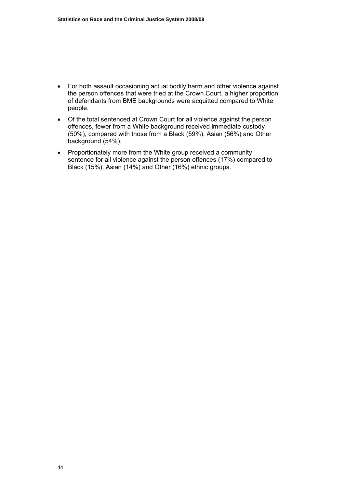- For both assault occasioning actual bodily harm and other violence against the person offences that were tried at the Crown Court, a higher proportion of defendants from BME backgrounds were acquitted compared to White people.
- Of the total sentenced at Crown Court for all violence against the person offences, fewer from a White background received immediate custody (50%), compared with those from a Black (59%), Asian (56%) and Other background (54%).
- Proportionately more from the White group received a community sentence for all violence against the person offences (17%) compared to Black (15%), Asian (14%) and Other (16%) ethnic groups.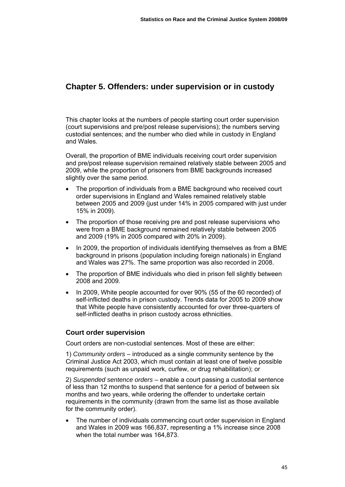# <span id="page-46-0"></span>**Chapter 5. Offenders: under supervision or in custody**

This chapter looks at the numbers of people starting court order supervision (court supervisions and pre/post release supervisions); the numbers serving custodial sentences; and the number who died while in custody in England and Wales.

Overall, the proportion of BME individuals receiving court order supervision and pre/post release supervision remained relatively stable between 2005 and 2009, while the proportion of prisoners from BME backgrounds increased slightly over the same period.

- The proportion of individuals from a BME background who received court order supervisions in England and Wales remained relatively stable between 2005 and 2009 (just under 14% in 2005 compared with just under 15% in 2009).
- The proportion of those receiving pre and post release supervisions who were from a BME background remained relatively stable between 2005 and 2009 (19% in 2005 compared with 20% in 2009).
- In 2009, the proportion of individuals identifying themselves as from a BME background in prisons (population including foreign nationals) in England and Wales was 27%. The same proportion was also recorded in 2008.
- The proportion of BME individuals who died in prison fell slightly between 2008 and 2009.
- In 2009, White people accounted for over 90% (55 of the 60 recorded) of self-inflicted deaths in prison custody. Trends data for 2005 to 2009 show that White people have consistently accounted for over three-quarters of self-inflicted deaths in prison custody across ethnicities.

# **Court order supervision**

Court orders are non-custodial sentences. Most of these are either:

1) *Community orders* – introduced as a single community sentence by the Criminal Justice Act 2003, which must contain at least one of twelve possible requirements (such as unpaid work, curfew, or drug rehabilitation); or

2) *Suspended sentence orders* – enable a court passing a custodial sentence of less than 12 months to suspend that sentence for a period of between six months and two years, while ordering the offender to undertake certain requirements in the community (drawn from the same list as those available for the community order).

 The number of individuals commencing court order supervision in England and Wales in 2009 was 166,837, representing a 1% increase since 2008 when the total number was 164,873.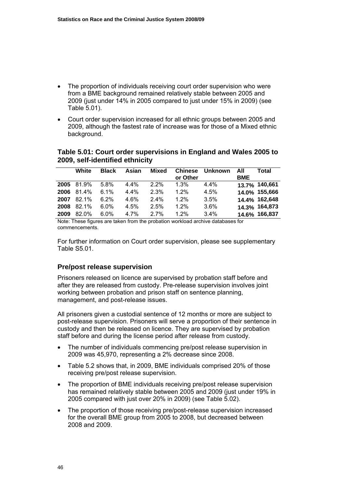- The proportion of individuals receiving court order supervision who were from a BME background remained relatively stable between 2005 and 2009 (just under 14% in 2005 compared to just under 15% in 2009) (see Table 5.01).
- Court order supervision increased for all ethnic groups between 2005 and 2009, although the fastest rate of increase was for those of a Mixed ethnic background.

### **Table 5.01: Court order supervisions in England and Wales 2005 to 2009, self-identified ethnicity**

|      | White | <b>Black</b> | Asian   | Mixed | <b>Chinese</b><br>or Other | <b>Unknown</b> | All<br><b>BME</b> | Total         |
|------|-------|--------------|---------|-------|----------------------------|----------------|-------------------|---------------|
| 2005 | 81.9% | 5.8%         | $4.4\%$ | 2.2%  | 1.3%                       | $4.4\%$        |                   | 13.7% 140,661 |
| 2006 | 81.4% | 6.1%         | $4.4\%$ | 2.3%  | 1.2%                       | 4.5%           |                   | 14.0% 155,666 |
| 2007 | 82.1% | 6.2%         | 4.6%    | 2.4%  | 1.2%                       | 3.5%           |                   | 14.4% 162,648 |
| 2008 | 82.1% | $6.0\%$      | 4.5%    | 2.5%  | 1.2%                       | 3.6%           |                   | 14.3% 164,873 |
| 2009 | 82.0% | $6.0\%$      | $4.7\%$ | 2.7%  | 1.2%                       | 3.4%           |                   | 14.6% 166,837 |

Note: These figures are taken from the probation workload archive databases for commencements.

For further information on Court order supervision, please see supplementary Table S5.01.

# **Pre/post release supervision**

Prisoners released on licence are supervised by probation staff before and after they are released from custody. Pre-release supervision involves joint working between probation and prison staff on sentence planning, management, and post-release issues.

All prisoners given a custodial sentence of 12 months or more are subject to post-release supervision. Prisoners will serve a proportion of their sentence in custody and then be released on licence. They are supervised by probation staff before and during the license period after release from custody.

- The number of individuals commencing pre/post release supervision in 2009 was 45,970, representing a 2% decrease since 2008.
- Table 5.2 shows that, in 2009, BME individuals comprised 20% of those receiving pre/post release supervision.
- The proportion of BME individuals receiving pre/post release supervision has remained relatively stable between 2005 and 2009 (just under 19% in 2005 compared with just over 20% in 2009) (see Table 5.02).
- The proportion of those receiving pre/post-release supervision increased for the overall BME group from 2005 to 2008, but decreased between 2008 and 2009.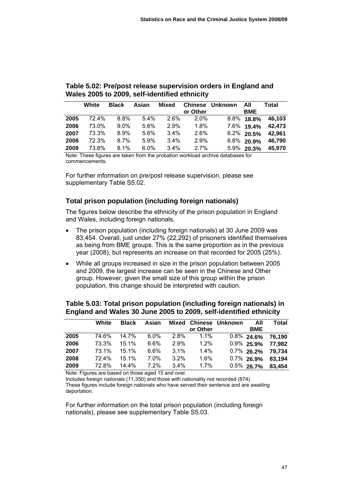|      | White | <b>Black</b> | Asian   | Mixed | <b>Chinese</b> | <b>Unknown</b> | All           | Total  |
|------|-------|--------------|---------|-------|----------------|----------------|---------------|--------|
|      |       |              |         |       | or Other       |                | <b>BME</b>    |        |
| 2005 | 72.4% | 8.8%         | 5.4%    | 2.6%  | $2.0\%$        | $8.8\%$        | 18.8%         | 46.103 |
| 2006 | 73.0% | $9.0\%$      | 5.6%    | 2.9%  | 1.8%           |                | 7.6% 19.4%    | 42,473 |
| 2007 | 73.3% | 8.9%         | 5.6%    | 3.4%  | 2.6%           |                | $6.2\%$ 20.5% | 42.961 |
| 2008 | 72.3% | 8.7%         | 5.9%    | 3.4%  | 2.9%           |                | $6.8\%$ 20.9% | 46.790 |
| 2009 | 73.8% | 8.1%         | $6.0\%$ | 3.4%  | 2.7%           |                | 5.9% 20.3%    | 45,970 |

# **Table 5.02: Pre/post release supervision orders in England and Wales 2005 to 2009, self-identified ethnicity**

Note: These figures are taken from the probation workload archive databases for commencements.

For further information on pre/post release supervision, please see supplementary Table S5.02.

# **Total prison population (including foreign nationals)**

The figures below describe the ethnicity of the prison population in England and Wales, including foreign nationals.

- The prison population (including foreign nationals) at 30 June 2009 was 83,454. Overall, just under 27% (22,292) of prisoners identified themselves as being from BME groups. This is the same proportion as in the previous year (2008), but represents an increase on that recorded for 2005 (25%).
- While all groups increased in size in the prison population between 2005 and 2009, the largest increase can be seen in the Chinese and Other group. However, given the small size of this group within the prison population, this change should be interpreted with caution.

# **Table 5.03: Total prison population (including foreign nationals) in England and Wales 30 June 2005 to 2009, self-identified ethnicity**

|      | White | <b>Black</b> | Asian   | Mixed | <b>Chinese</b> | <b>Unknown</b> | All           | Total  |
|------|-------|--------------|---------|-------|----------------|----------------|---------------|--------|
|      |       |              |         |       | or Other       |                | <b>BME</b>    |        |
| 2005 | 74.6% | 14.7%        | $6.0\%$ | 2.8%  | $1.1\%$        |                | $0.8\%$ 24.6% | 76,190 |
| 2006 | 73.3% | 15.1%        | 6.6%    | 2.9%  | 1.2%           |                | $0.9\%$ 25.9% | 77,982 |
| 2007 | 73.1% | 15 1%        | 6.6%    | 3.1%  | $1.4\%$        |                | $0.7\%$ 26.2% | 79.734 |
| 2008 | 72.4% | 15.1%        | 7.0%    | 3.2%  | 1.6%           |                | $0.7\%$ 26.9% | 83,194 |
| 2009 | 72.8% | $14.4\%$     | 7.2%    | 3.4%  | 1.7%           |                | $0.5\%$ 26.7% | 83,454 |

Note: Figures are based on those aged 15 and over.

Includes foreign nationals (11,350) and those with nationality not recorded (874) These figures include foreign nationals who have served their sentence and are awaiting deportation.

For further information on the total prison population (including foreign nationals), please see supplementary Table S5.03.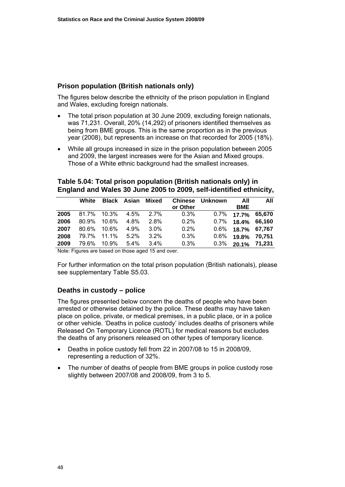# **Prison population (British nationals only)**

The figures below describe the ethnicity of the prison population in England and Wales, excluding foreign nationals.

- The total prison population at 30 June 2009, excluding foreign nationals, was 71,231. Overall, 20% (14,292) of prisoners identified themselves as being from BME groups. This is the same proportion as in the previous year (2008), but represents an increase on that recorded for 2005 (18%).
- While all groups increased in size in the prison population between 2005 and 2009, the largest increases were for the Asian and Mixed groups. Those of a White ethnic background had the smallest increases.

### **Table 5.04: Total prison population (British nationals only) in England and Wales 30 June 2005 to 2009, self-identified ethnicity,**

|      | White |          | <b>Black Asian</b> | Mixed                                             | <b>Chinese</b><br>or Other | <b>Unknown</b> | All<br><b>BME</b> | All    |
|------|-------|----------|--------------------|---------------------------------------------------|----------------------------|----------------|-------------------|--------|
|      |       |          |                    |                                                   |                            |                |                   |        |
| 2005 | 81.7% | 10.3%    | 4.5%               | 2.7%                                              | $0.3\%$                    | $0.7\%$        | 17.7%             | 65.670 |
| 2006 | 80.9% | 10.6%    | 4.8%               | 2.8%                                              | 0.2%                       | $0.7\%$        | 18.4%             | 66.160 |
| 2007 | 80.6% | 10.6%    | 4.9%               | 3.0%                                              | 0.2%                       | $0.6\%$        | 18.7%             | 67.767 |
| 2008 | 79.7% | $11.1\%$ | 5.2%               | 3.2%                                              | 0.3%                       | $0.6\%$        | 19.8%             | 70.751 |
| 2009 | 79.6% | 10.9%    | 5.4%               | $3.4\%$                                           | 0.3%                       | $0.3\%$        | 20.1%             | 71,231 |
|      |       |          |                    | Note: Eigurea are based on these aged 15 and over |                            |                |                   |        |

Note: Figures are based on those aged 15 and over.

For further information on the total prison population (British nationals), please see supplementary Table S5.03.

### **Deaths in custody – police**

The figures presented below concern the deaths of people who have been arrested or otherwise detained by the police. These deaths may have taken place on police, private, or medical premises, in a public place, or in a police or other vehicle. 'Deaths in police custody' includes deaths of prisoners while Released On Temporary Licence (ROTL) for medical reasons but excludes the deaths of any prisoners released on other types of temporary licence.

- Deaths in police custody fell from 22 in 2007/08 to 15 in 2008/09, representing a reduction of 32%.
- The number of deaths of people from BME groups in police custody rose slightly between 2007/08 and 2008/09, from 3 to 5.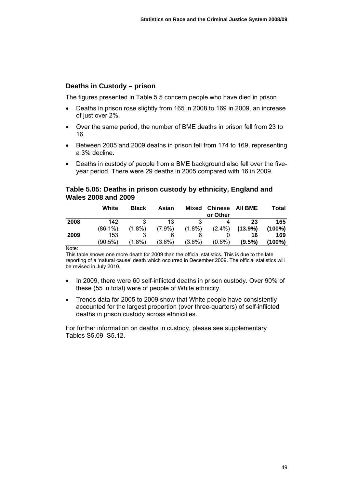# **Deaths in Custody – prison**

The figures presented in Table 5.5 concern people who have died in prison.

- Deaths in prison rose slightly from 165 in 2008 to 169 in 2009, an increase of just over 2%.
- Over the same period, the number of BME deaths in prison fell from 23 to 16.
- Between 2005 and 2009 deaths in prison fell from 174 to 169, representing a 3% decline.
- Deaths in custody of people from a BME background also fell over the fiveyear period. There were 29 deaths in 2005 compared with 16 in 2009.

# **Table 5.05: Deaths in prison custody by ethnicity, England and Wales 2008 and 2009**

|      | White   | <b>Black</b> | Asian     | Mixed     | <b>Chinese</b><br>or Other | <b>AII BME</b> | <b>Total</b> |
|------|---------|--------------|-----------|-----------|----------------------------|----------------|--------------|
| 2008 | 142     | 2            | 13        |           | 4                          | 23             | 165          |
|      | (86.1%) | $(1.8\%)$    | $(7.9\%)$ | $(1.8\%)$ | $(2.4\%)$                  | $(13.9\%)$     | (100%)       |
| 2009 | 153     | 2            |           |           |                            | 16             | 169          |
|      | (90.5%) | $(1.8\%)$    | (3.6%)    | (3.6%)    | $(0.6\%)$                  | $(9.5\%)$      | (100%)       |

Note:

This table shows one more death for 2009 than the official statistics. This is due to the late reporting of a 'natural cause' death which occurred in December 2009. The official statistics will be revised in July 2010.

- In 2009, there were 60 self-inflicted deaths in prison custody. Over 90% of these (55 in total) were of people of White ethnicity.
- Trends data for 2005 to 2009 show that White people have consistently accounted for the largest proportion (over three-quarters) of self-inflicted deaths in prison custody across ethnicities.

For further information on deaths in custody, please see supplementary Tables S5.09–S5.12.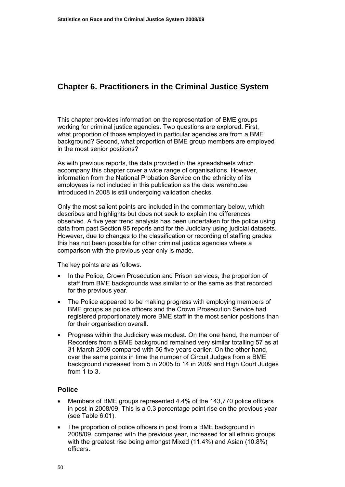# <span id="page-51-0"></span>**Chapter 6. Practitioners in the Criminal Justice System**

This chapter provides information on the representation of BME groups working for criminal justice agencies. Two questions are explored. First, what proportion of those employed in particular agencies are from a BME background? Second, what proportion of BME group members are employed in the most senior positions?

As with previous reports, the data provided in the spreadsheets which accompany this chapter cover a wide range of organisations. However, information from the National Probation Service on the ethnicity of its employees is not included in this publication as the data warehouse introduced in 2008 is still undergoing validation checks.

Only the most salient points are included in the commentary below, which describes and highlights but does not seek to explain the differences observed. A five year trend analysis has been undertaken for the police using data from past Section 95 reports and for the Judiciary using judicial datasets. However, due to changes to the classification or recording of staffing grades this has not been possible for other criminal justice agencies where a comparison with the previous year only is made.

The key points are as follows.

- In the Police, Crown Prosecution and Prison services, the proportion of staff from BME backgrounds was similar to or the same as that recorded for the previous year.
- The Police appeared to be making progress with employing members of BME groups as police officers and the Crown Prosecution Service had registered proportionately more BME staff in the most senior positions than for their organisation overall.
- Progress within the Judiciary was modest. On the one hand, the number of Recorders from a BME background remained very similar totalling 57 as at 31 March 2009 compared with 56 five years earlier. On the other hand, over the same points in time the number of Circuit Judges from a BME background increased from 5 in 2005 to 14 in 2009 and High Court Judges from 1 to 3.

### **Police**

- Members of BME groups represented 4.4% of the 143,770 police officers in post in 2008/09. This is a 0.3 percentage point rise on the previous year (see Table 6.01).
- The proportion of police officers in post from a BME background in 2008/09, compared with the previous year, increased for all ethnic groups with the greatest rise being amongst Mixed (11.4%) and Asian (10.8%) officers.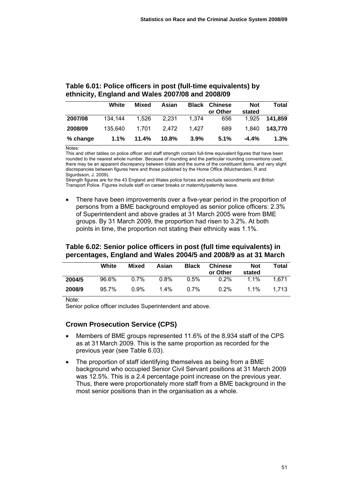|          | White   | Mixed | Asian | <b>Black</b> | <b>Chinese</b><br>or Other | <b>Not</b><br>stated | Total   |
|----------|---------|-------|-------|--------------|----------------------------|----------------------|---------|
| 2007/08  | 134.144 | 1.526 | 2.231 | 1.374        | 656                        | 1.925                | 141.859 |
| 2008/09  | 135.640 | 1.701 | 2.472 | 1.427        | 689                        | 1.840                | 143,770 |
| % change | 1.1%    | 11.4% | 10.8% | 3.9%         | 5.1%                       | $-4.4%$              | 1.3%    |

# **Table 6.01: Police officers in post (full-time equivalents) by ethnicity, England and Wales 2007/08 and 2008/09**

Notes:

This and other tables on police officer and staff strength contain full-time equivalent figures that have been rounded to the nearest whole number. Because of rounding and the particular rounding conventions used, there may be an apparent discrepancy between totals and the sums of the constituent items, and very slight discrepancies between figures here and those published by the Home Office (Mulchandani, R and Sigurdsson, J. 2009).

Strength figures are for the 43 England and Wales police forces and exclude secondments and British Transport Police. Figures include staff on career breaks or maternity/paternity leave.

 There have been improvements over a five-year period in the proportion of persons from a BME background employed as senior police officers: 2.3% of Superintendent and above grades at 31 March 2005 were from BME groups. By 31 March 2009, the proportion had risen to 3.2%. At both points in time, the proportion not stating their ethnicity was 1.1%.

# **Table 6.02: Senior police officers in post (full time equivalents) in percentages, England and Wales 2004/5 and 2008/9 as at 31 March**

|        | White | Mixed | Asian   | <b>Black</b> | <b>Chinese</b><br>or Other | <b>Not</b><br>stated | Total |
|--------|-------|-------|---------|--------------|----------------------------|----------------------|-------|
| 2004/5 | 96.6% | 0.7%  | 0.8%    | 0.5%         | $0.2\%$                    | $1.1\%$              | 1.671 |
| 2008/9 | 95.7% | 0.9%  | $1.4\%$ | $0.7\%$      | $0.2\%$                    | $1.1\%$              | 1.713 |

Note:

Senior police officer includes Superintendent and above.

# **Crown Prosecution Service (CPS)**

- Members of BME groups represented 11.6% of the 8,934 staff of the CPS as at 31 March 2009. This is the same proportion as recorded for the previous year (see Table 6.03).
- The proportion of staff identifying themselves as being from a BME background who occupied Senior Civil Servant positions at 31 March 2009 was 12.5%. This is a 2.4 percentage point increase on the previous year. Thus, there were proportionately more staff from a BME background in the most senior positions than in the organisation as a whole.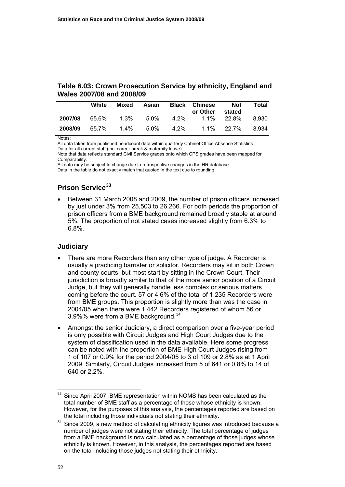# **Table 6.03: Crown Prosecution Service by ethnicity, England and Wales 2007/08 and 2008/09**

|         | White | Mixed   | Asian   | Black   | <b>Chinese</b><br>or Other | <b>Not</b><br>stated | Total |
|---------|-------|---------|---------|---------|----------------------------|----------------------|-------|
| 2007/08 | 65.6% | $1.3\%$ | 5.0%    | 4.2%    | $1.1\%$                    | 22.8%                | 8.930 |
| 2008/09 | 65.7% | $1.4\%$ | $5.0\%$ | $4.2\%$ | 1.1%                       | 22.7%                | 8.934 |

Notes:

All data taken from published headcount data within quarterly Cabinet Office Absence Statistics Data for all current staff (inc. career break & maternity leave)

Note that data reflects standard Civil Service grades onto which CPS grades have been mapped for Comparability.

All data may be subject to change due to retrospective changes in the HR database Data in the table do not exactly match that quoted in the text due to rounding

# **Prison Service[33](#page-53-0)**

 Between 31 March 2008 and 2009, the number of prison officers increased by just under 3% from 25,503 to 26,266. For both periods the proportion of prison officers from a BME background remained broadly stable at around 5%. The proportion of not stated cases increased slightly from 6.3% to 6.8%.

# **Judiciary**

- There are more Recorders than any other type of judge. A Recorder is usually a practicing barrister or solicitor. Recorders may sit in both Crown and county courts, but most start by sitting in the Crown Court. Their jurisdiction is broadly similar to that of the more senior position of a Circuit Judge, but they will generally handle less complex or serious matters coming before the court. 57 or 4.6% of the total of 1,235 Recorders were from BME groups. This proportion is slightly more than was the case in 2004/05 when there were 1,442 Recorders registered of whom 56 or 3.9%% were from a BME background.[34](#page-53-1)
- Amongst the senior Judiciary, a direct comparison over a five-year period is only possible with Circuit Judges and High Court Judges due to the system of classification used in the data available. Here some progress can be noted with the proportion of BME High Court Judges rising from 1 of 107 or 0.9% for the period 2004/05 to 3 of 109 or 2.8% as at 1 April 2009. Similarly, Circuit Judges increased from 5 of 641 or 0.8% to 14 of 640 or 2.2%.

<span id="page-53-0"></span><sup>33</sup> 33 Since April 2007, BME representation within NOMS has been calculated as the total number of BME staff as a percentage of those whose ethnicity is known. However, for the purposes of this analysis, the percentages reported are based on the total including those individuals not stating their ethnicity.

<span id="page-53-1"></span> $34$  Since 2009, a new method of calculating ethnicity figures was introduced because a number of judges were not stating their ethnicity. The total percentage of judges from a BME background is now calculated as a percentage of those judges whose ethnicity is known. However, in this analysis, the percentages reported are based on the total including those judges not stating their ethnicity.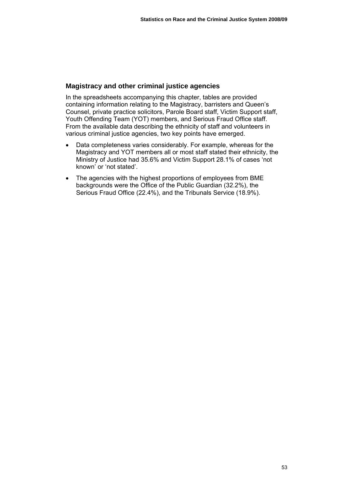### **Magistracy and other criminal justice agencies**

In the spreadsheets accompanying this chapter, tables are provided containing information relating to the Magistracy, barristers and Queen's Counsel, private practice solicitors, Parole Board staff, Victim Support staff, Youth Offending Team (YOT) members, and Serious Fraud Office staff. From the available data describing the ethnicity of staff and volunteers in various criminal justice agencies, two key points have emerged.

- Data completeness varies considerably. For example, whereas for the Magistracy and YOT members all or most staff stated their ethnicity, the Ministry of Justice had 35.6% and Victim Support 28.1% of cases 'not known' or 'not stated'.
- The agencies with the highest proportions of employees from BME backgrounds were the Office of the Public Guardian (32.2%), the Serious Fraud Office (22.4%), and the Tribunals Service (18.9%).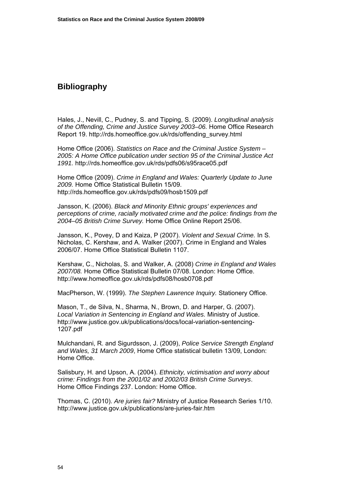# <span id="page-55-0"></span>**Bibliography**

Hales, J., Nevill, C., Pudney, S. and Tipping, S. (2009). *Longitudinal analysis of the Offending, Crime and Justice Survey 2003–06.* Home Office Research Report 19. [http://rds.homeoffice.gov.uk/rds/offending\\_survey.html](http://rds.homeoffice.gov.uk/rds/offending_survey.html) 

Home Office (2006). *Statistics on Race and the Criminal Justice System – 2005: A Home Office publication under section 95 of the Criminal Justice Act 1991.* <http://rds.homeoffice.gov.uk/rds/pdfs06/s95race05.pdf>

Home Office (2009). *Crime in England and Wales: Quarterly Update to June 2009.* Home Office Statistical Bulletin 15/09. <http://rds.homeoffice.gov.uk/rds/pdfs09/hosb1509.pdf>

Jansson, K. (2006). *Black and Minority Ethnic groups' experiences and perceptions of crime, racially motivated crime and the police: findings from the 2004–05 British Crime Survey.* Home Office Online Report 25/06.

Jansson, K., Povey, D and Kaiza, P (2007). *Violent and Sexual Crime.* In S. Nicholas, C. Kershaw, and A. Walker (2007). Crime in England and Wales 2006/07. Home Office Statistical Bulletin 1107.

Kershaw, C., Nicholas, S. and Walker, A. (2008) *Crime in England and Wales 2007/08.* Home Office Statistical Bulletin 07/08. London: Home Office. <http://www.homeoffice.gov.uk/rds/pdfs08/hosb0708.pdf>

MacPherson, W. (1999). *The Stephen Lawrence Inquiry.* Stationery Office.

Mason, T., de Silva, N., Sharma, N., Brown, D. and Harper, G. (2007). *Local Variation in Sentencing in England and Wales.* Ministry of Justice. [http://www.justice.gov.uk/publications/docs/local-variation-sentencing-](http://www.justice.gov.uk/publications/docs/local-variation-sentencing-1207.pdf)[1207.pdf](http://www.justice.gov.uk/publications/docs/local-variation-sentencing-1207.pdf) 

Mulchandani, R. and Sigurdsson, J. (2009), *Police Service Strength England and Wales, 31 March 2009*, Home Office statistical bulletin 13/09, London: Home Office.

Salisbury, H. and Upson, A. (2004). *Ethnicity, victimisation and worry about crime: Findings from the 2001/02 and 2002/03 British Crime Surveys*. Home Office Findings 237. London: Home Office.

Thomas, C. (2010). *Are juries fair?* Ministry of Justice Research Series 1/10. <http://www.justice.gov.uk/publications/are-juries-fair.htm>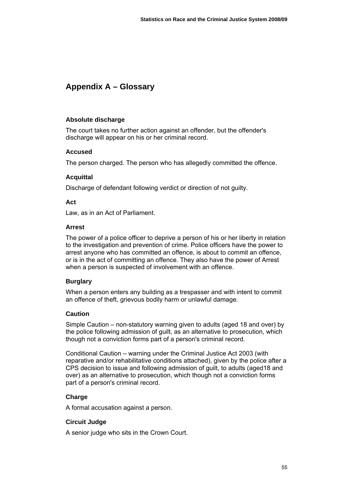# <span id="page-56-0"></span>**Appendix A – Glossary**

# **Absolute discharge**

The court takes no further action against an offender, but the offender's discharge will appear on his or her criminal record.

### **Accused**

The person charged. The person who has allegedly committed the offence.

# **Acquittal**

Discharge of defendant following verdict or direction of not guilty.

### **Act**

Law, as in an Act of Parliament.

### **Arrest**

The power of a police officer to deprive a person of his or her liberty in relation to the investigation and prevention of crime. Police officers have the power to arrest anyone who has committed an offence, is about to commit an offence, or is in the act of committing an offence. They also have the power of Arrest when a person is suspected of involvement with an offence.

# **Burglary**

When a person enters any building as a trespasser and with intent to commit an offence of theft, grievous bodily harm or unlawful damage.

### **Caution**

Simple Caution – non-statutory warning given to adults (aged 18 and over) by the police following admission of guilt, as an alternative to prosecution, which though not a conviction forms part of a person's criminal record.

Conditional Caution – warning under the Criminal Justice Act 2003 (with reparative and/or rehabilitative conditions attached), given by the police after a CPS decision to issue and following admission of guilt, to adults (aged18 and over) as an alternative to prosecution, which though not a conviction forms part of a person's criminal record.

### **Charge**

A formal accusation against a person.

# **Circuit Judge**

A senior judge who sits in the Crown Court.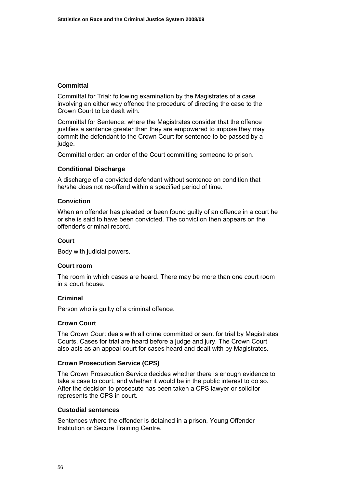#### **Committal**

Committal for Trial: following examination by the Magistrates of a case involving an either way offence the procedure of directing the case to the Crown Court to be dealt with.

Committal for Sentence: where the Magistrates consider that the offence justifies a sentence greater than they are empowered to impose they may commit the defendant to the Crown Court for sentence to be passed by a judge.

Committal order: an order of the Court committing someone to prison.

#### **Conditional Discharge**

A discharge of a convicted defendant without sentence on condition that he/she does not re-offend within a specified period of time.

#### **Conviction**

When an offender has pleaded or been found guilty of an offence in a court he or she is said to have been convicted. The conviction then appears on the offender's criminal record.

#### **Court**

Body with judicial powers.

#### **Court room**

The room in which cases are heard. There may be more than one court room in a court house.

#### **Criminal**

Person who is guilty of a criminal offence.

#### **Crown Court**

The Crown Court deals with all crime committed or sent for trial by Magistrates Courts. Cases for trial are heard before a judge and jury. The Crown Court also acts as an appeal court for cases heard and dealt with by Magistrates.

#### **Crown Prosecution Service (CPS)**

The Crown Prosecution Service decides whether there is enough evidence to take a case to court, and whether it would be in the public interest to do so. After the decision to prosecute has been taken a CPS lawyer or solicitor represents the CPS in court.

#### **Custodial sentences**

Sentences where the offender is detained in a prison, Young Offender Institution or Secure Training Centre.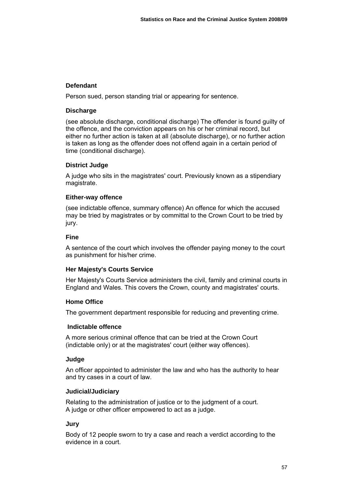# **Defendant**

Person sued, person standing trial or appearing for sentence.

### **Discharge**

(see absolute discharge, conditional discharge) The offender is found guilty of the offence, and the conviction appears on his or her criminal record, but either no further action is taken at all (absolute discharge), or no further action is taken as long as the offender does not offend again in a certain period of time (conditional discharge).

#### **District Judge**

A judge who sits in the magistrates' court. Previously known as a stipendiary magistrate.

#### **Either-way offence**

(see indictable offence, summary offence) An offence for which the accused may be tried by magistrates or by committal to the Crown Court to be tried by jury.

#### **Fine**

A sentence of the court which involves the offender paying money to the court as punishment for his/her crime.

#### **Her Majesty's Courts Service**

Her Majesty's Courts Service administers the civil, family and criminal courts in England and Wales. This covers the Crown, county and magistrates' courts.

#### **Home Office**

The government department responsible for reducing and preventing crime.

#### **Indictable offence**

A more serious criminal offence that can be tried at the Crown Court (indictable only) or at the magistrates' court (either way offences).

### **Judge**

An officer appointed to administer the law and who has the authority to hear and try cases in a court of law.

### **Judicial/Judiciary**

Relating to the administration of justice or to the judgment of a court. A judge or other officer empowered to act as a judge.

#### **Jury**

Body of 12 people sworn to try a case and reach a verdict according to the evidence in a court.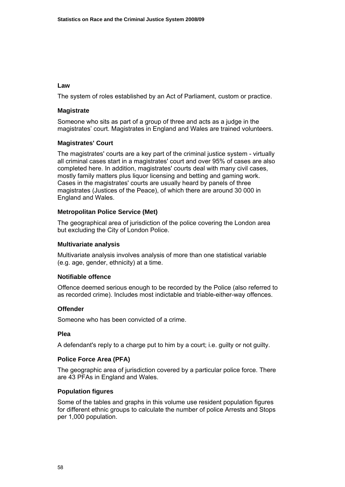### **Law**

The system of roles established by an Act of Parliament, custom or practice.

#### **Magistrate**

Someone who sits as part of a group of three and acts as a judge in the magistrates' court. Magistrates in England and Wales are trained volunteers.

#### **Magistrates' Court**

The magistrates' courts are a key part of the criminal justice system - virtually all criminal cases start in a magistrates' court and over 95% of cases are also completed here. In addition, magistrates' courts deal with many civil cases, mostly family matters plus liquor licensing and betting and gaming work. Cases in the magistrates' courts are usually heard by panels of three magistrates (Justices of the Peace), of which there are around 30 000 in England and Wales.

#### **Metropolitan Police Service (Met)**

The geographical area of jurisdiction of the police covering the London area but excluding the City of London Police.

#### **Multivariate analysis**

Multivariate analysis involves analysis of more than one statistical variable (e.g. age, gender, ethnicity) at a time.

#### **Notifiable offence**

Offence deemed serious enough to be recorded by the Police (also referred to as recorded crime). Includes most indictable and triable-either-way offences.

#### **Offender**

Someone who has been convicted of a crime.

#### **Plea**

A defendant's reply to a charge put to him by a court; i.e. guilty or not guilty.

### **Police Force Area (PFA)**

The geographic area of jurisdiction covered by a particular police force. There are 43 PFAs in England and Wales.

#### **Population figures**

Some of the tables and graphs in this volume use resident population figures for different ethnic groups to calculate the number of police Arrests and Stops per 1,000 population.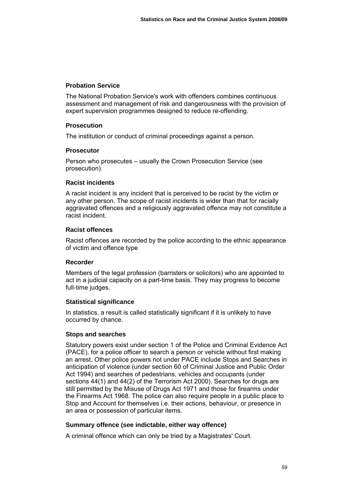# **Probation Service**

The National Probation Service's work with offenders combines continuous assessment and management of risk and dangerousness with the provision of expert supervision programmes designed to reduce re-offending.

### **Prosecution**

The institution or conduct of criminal proceedings against a person.

### **Prosecutor**

Person who prosecutes – usually the Crown Prosecution Service (see prosecution).

#### **Racist incidents**

A racist incident is any incident that is perceived to be racist by the victim or any other person. The scope of racist incidents is wider than that for racially aggravated offences and a religiously aggravated offence may not constitute a racist incident.

### **Racist offences**

Racist offences are recorded by the police according to the ethnic appearance of victim and offence type

### **Recorder**

Members of the legal profession (barristers or solicitors) who are appointed to act in a judicial capacity on a part-time basis. They may progress to become full-time judges.

### **Statistical significance**

In statistics, a result is called statistically significant if it is unlikely to have occurred by chance.

### **Stops and searches**

Statutory powers exist under section 1 of the Police and Criminal Evidence Act (PACE), for a police officer to search a person or vehicle without first making an arrest. Other police powers not under PACE include Stops and Searches in anticipation of violence (under section 60 of Criminal Justice and Public Order Act 1994) and searches of pedestrians, vehicles and occupants (under sections 44(1) and 44(2) of the Terrorism Act 2000). Searches for drugs are still permitted by the Misuse of Drugs Act 1971 and those for firearms under the Firearms Act 1968. The police can also require people in a public place to Stop and Account for themselves i.e. their actions, behaviour, or presence in an area or possession of particular items.

### **Summary offence (see indictable, either way offence)**

A criminal offence which can only be tried by a Magistrates' Court.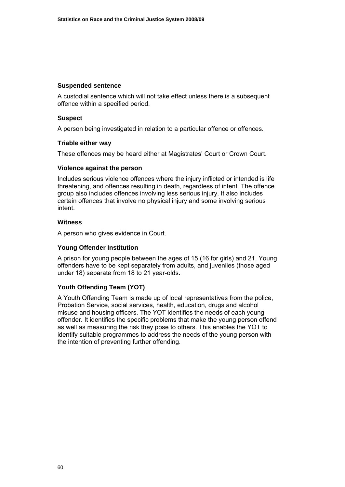#### **Suspended sentence**

A custodial sentence which will not take effect unless there is a subsequent offence within a specified period.

#### **Suspect**

A person being investigated in relation to a particular offence or offences.

#### **Triable either way**

These offences may be heard either at Magistrates' Court or Crown Court.

#### **Violence against the person**

Includes serious violence offences where the injury inflicted or intended is life threatening, and offences resulting in death, regardless of intent. The offence group also includes offences involving less serious injury. It also includes certain offences that involve no physical injury and some involving serious intent.

#### **Witness**

A person who gives evidence in Court.

### **Young Offender Institution**

A prison for young people between the ages of 15 (16 for girls) and 21. Young offenders have to be kept separately from adults, and juveniles (those aged under 18) separate from 18 to 21 year-olds.

### **Youth Offending Team (YOT)**

A Youth Offending Team is made up of local representatives from the police, Probation Service, social services, health, education, drugs and alcohol misuse and housing officers. The YOT identifies the needs of each young offender. It identifies the specific problems that make the young person offend as well as measuring the risk they pose to others. This enables the YOT to identify suitable programmes to address the needs of the young person with the intention of preventing further offending.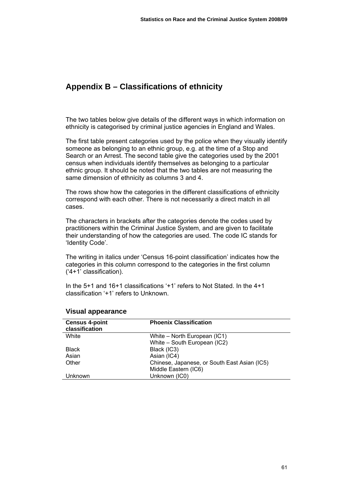# <span id="page-62-0"></span>**Appendix B – Classifications of ethnicity**

The two tables below give details of the different ways in which information on ethnicity is categorised by criminal justice agencies in England and Wales.

The first table present categories used by the police when they visually identify someone as belonging to an ethnic group, e.g. at the time of a Stop and Search or an Arrest. The second table give the categories used by the 2001 census when individuals identify themselves as belonging to a particular ethnic group. It should be noted that the two tables are not measuring the same dimension of ethnicity as columns 3 and 4.

The rows show how the categories in the different classifications of ethnicity correspond with each other. There is not necessarily a direct match in all cases.

The characters in brackets after the categories denote the codes used by practitioners within the Criminal Justice System, and are given to facilitate their understanding of how the categories are used. The code IC stands for 'Identity Code'.

The writing in italics under 'Census 16-point classification' indicates how the categories in this column correspond to the categories in the first column ('4+1' classification).

In the 5+1 and 16+1 classifications '+1' refers to Not Stated. In the 4+1 classification '+1' refers to Unknown.

| <b>Census 4-point</b><br>classification | <b>Phoenix Classification</b>                |
|-----------------------------------------|----------------------------------------------|
| White                                   | White – North European (IC1)                 |
|                                         | White - South European (IC2)                 |
| <b>Black</b>                            | Black (IC3)                                  |
| Asian                                   | Asian (IC4)                                  |
| Other                                   | Chinese, Japanese, or South East Asian (IC5) |
|                                         | Middle Eastern (IC6)                         |
| Unknown                                 | Unknown (IC0)                                |

### **Visual appearance**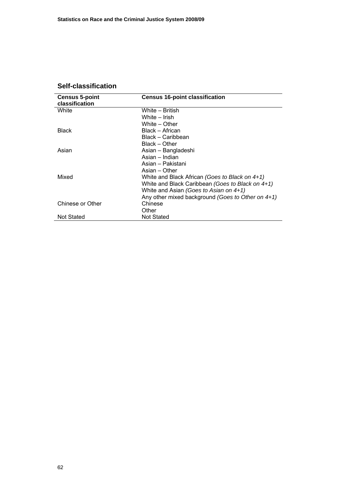# **Self-classification**

| <b>Census 5-point</b> | <b>Census 16-point classification</b>                |
|-----------------------|------------------------------------------------------|
| classification        |                                                      |
| White                 | White – British                                      |
|                       | White – Irish                                        |
|                       | White – Other                                        |
| <b>Black</b>          | Black – African                                      |
|                       | Black – Caribbean                                    |
|                       | Black – Other                                        |
| Asian                 | Asian - Bangladeshi                                  |
|                       | Asian – Indian                                       |
|                       | Asian – Pakistani                                    |
|                       | Asian – Other                                        |
| Mixed                 | White and Black African (Goes to Black on 4+1)       |
|                       | White and Black Caribbean (Goes to Black on 4+1)     |
|                       | White and Asian (Goes to Asian on $4+1$ )            |
|                       | Any other mixed background (Goes to Other on $4+1$ ) |
| Chinese or Other      | Chinese                                              |
|                       | Other                                                |
| <b>Not Stated</b>     | <b>Not Stated</b>                                    |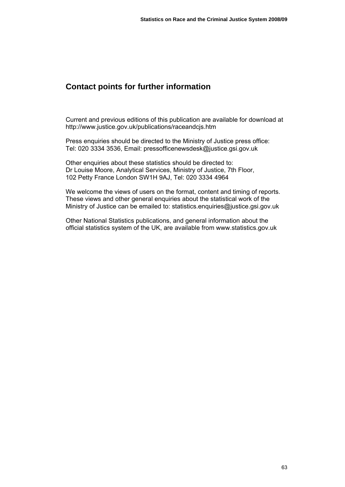# <span id="page-64-0"></span>**Contact points for further information**

Current and previous editions of this publication are available for download at <http://www.justice.gov.uk/publications/raceandcjs.htm>

Press enquiries should be directed to the Ministry of Justice press office: Tel: 020 3334 3536, Email: [pressofficenewsdesk@justice.gsi.gov.uk](mailto:pressofficenewsdesk@justice.gsi.gov.uk) 

Other enquiries about these statistics should be directed to: Dr Louise Moore, Analytical Services, Ministry of Justice, 7th Floor, 102 Petty France London SW1H 9AJ, Tel: 020 3334 4964

We welcome the views of users on the format, content and timing of reports. These views and other general enquiries about the statistical work of the Ministry of Justice can be emailed to: [statistics.enquiries@justice.gsi.gov.uk](mailto:statistics.enquiries@justice.gsi.gov.uk) 

Other National Statistics publications, and general information about the official statistics system of the UK, are available from [www.statistics.gov.uk](http://www.statistics.gov.uk/)